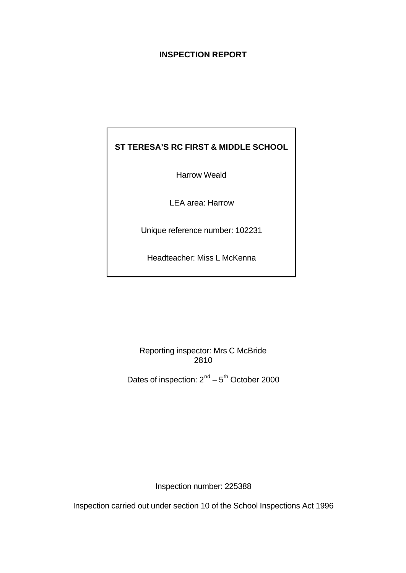# **INSPECTION REPORT**

# **ST TERESA'S RC FIRST & MIDDLE SCHOOL**

Harrow Weald

LEA area: Harrow

Unique reference number: 102231

Headteacher: Miss L McKenna

Reporting inspector: Mrs C McBride 2810

Dates of inspection:  $2^{nd} - 5^{th}$  October 2000

Inspection number: 225388

Inspection carried out under section 10 of the School Inspections Act 1996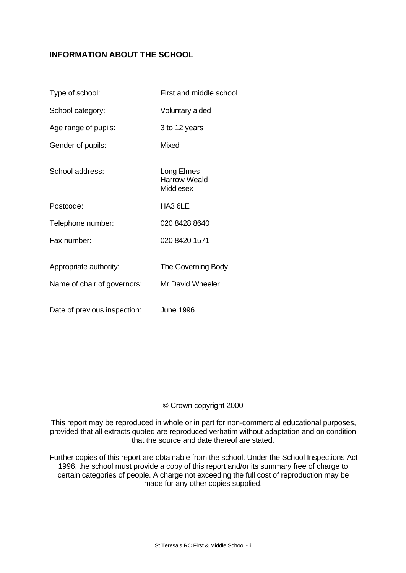# **INFORMATION ABOUT THE SCHOOL**

| Type of school:              | First and middle school                        |
|------------------------------|------------------------------------------------|
| School category:             | Voluntary aided                                |
| Age range of pupils:         | 3 to 12 years                                  |
| Gender of pupils:            | Mixed                                          |
| School address:              | Long Elmes<br>Harrow Weald<br><b>Middlesex</b> |
| Postcode:                    | HA3 6LE                                        |
| Telephone number:            | 020 8428 8640                                  |
| Fax number:                  | 020 8420 1571                                  |
| Appropriate authority:       | The Governing Body                             |
| Name of chair of governors:  | Mr David Wheeler                               |
| Date of previous inspection: | <b>June 1996</b>                               |

# © Crown copyright 2000

This report may be reproduced in whole or in part for non-commercial educational purposes, provided that all extracts quoted are reproduced verbatim without adaptation and on condition that the source and date thereof are stated.

Further copies of this report are obtainable from the school. Under the School Inspections Act 1996, the school must provide a copy of this report and/or its summary free of charge to certain categories of people. A charge not exceeding the full cost of reproduction may be made for any other copies supplied.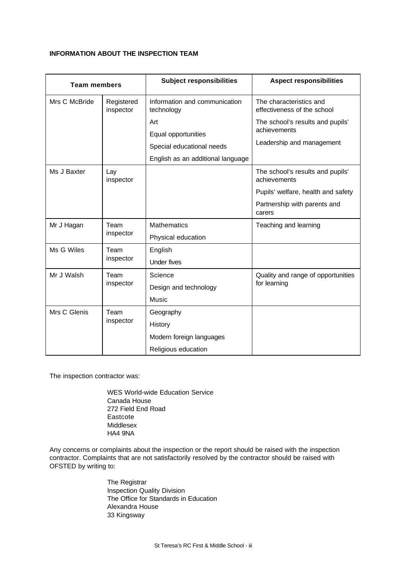#### **INFORMATION ABOUT THE INSPECTION TEAM**

| <b>Team members</b> |                         | <b>Subject responsibilities</b>             | <b>Aspect responsibilities</b>                         |  |
|---------------------|-------------------------|---------------------------------------------|--------------------------------------------------------|--|
| Mrs C McBride       | Registered<br>inspector | Information and communication<br>technology | The characteristics and<br>effectiveness of the school |  |
|                     |                         | Art                                         | The school's results and pupils'                       |  |
|                     |                         | Equal opportunities                         | achievements                                           |  |
|                     |                         | Special educational needs                   | Leadership and management                              |  |
|                     |                         | English as an additional language           |                                                        |  |
| Ms J Baxter         | Lay<br>inspector        |                                             | The school's results and pupils'<br>achievements       |  |
|                     |                         |                                             | Pupils' welfare, health and safety                     |  |
|                     |                         |                                             | Partnership with parents and<br>carers                 |  |
| Mr J Hagan          | Team                    | <b>Mathematics</b>                          | Teaching and learning                                  |  |
|                     | inspector               | Physical education                          |                                                        |  |
| Ms G Wiles          | Team                    | English                                     |                                                        |  |
|                     | inspector               | <b>Under fives</b>                          |                                                        |  |
| Mr J Walsh          | Team                    | Science                                     | Quality and range of opportunities                     |  |
|                     | inspector               | Design and technology                       | for learning                                           |  |
|                     |                         | Music                                       |                                                        |  |
| Mrs C Glenis        | Team                    | Geography                                   |                                                        |  |
|                     | inspector               | History                                     |                                                        |  |
|                     |                         | Modern foreign languages                    |                                                        |  |
|                     |                         | Religious education                         |                                                        |  |

The inspection contractor was:

WES World-wide Education Service Canada House 272 Field End Road Eastcote Middlesex HA4 9NA

Any concerns or complaints about the inspection or the report should be raised with the inspection contractor. Complaints that are not satisfactorily resolved by the contractor should be raised with OFSTED by writing to:

> The Registrar Inspection Quality Division The Office for Standards in Education Alexandra House 33 Kingsway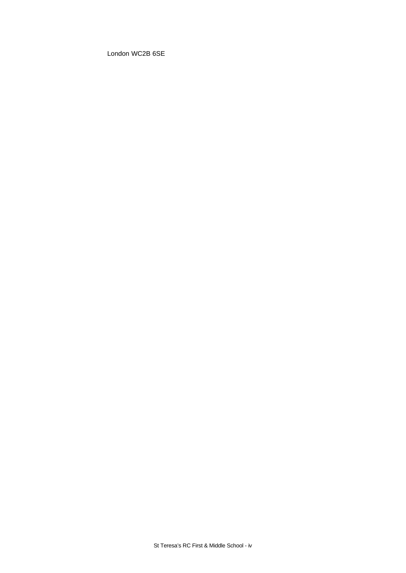London WC2B 6SE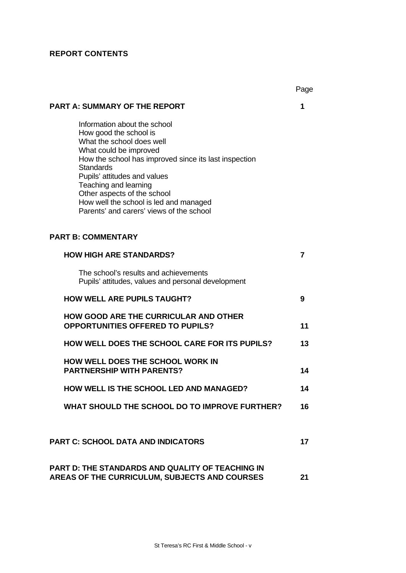# **REPORT CONTENTS**

|                                                                                                                                                                                                                                                                                                                                                                          | Page |
|--------------------------------------------------------------------------------------------------------------------------------------------------------------------------------------------------------------------------------------------------------------------------------------------------------------------------------------------------------------------------|------|
| PART A: SUMMARY OF THE REPORT                                                                                                                                                                                                                                                                                                                                            | 1    |
| Information about the school<br>How good the school is<br>What the school does well<br>What could be improved<br>How the school has improved since its last inspection<br><b>Standards</b><br>Pupils' attitudes and values<br>Teaching and learning<br>Other aspects of the school<br>How well the school is led and managed<br>Parents' and carers' views of the school |      |
| <b>PART B: COMMENTARY</b>                                                                                                                                                                                                                                                                                                                                                |      |
| <b>HOW HIGH ARE STANDARDS?</b>                                                                                                                                                                                                                                                                                                                                           | 7    |
| The school's results and achievements<br>Pupils' attitudes, values and personal development                                                                                                                                                                                                                                                                              |      |
| <b>HOW WELL ARE PUPILS TAUGHT?</b>                                                                                                                                                                                                                                                                                                                                       | 9    |
| HOW GOOD ARE THE CURRICULAR AND OTHER<br><b>OPPORTUNITIES OFFERED TO PUPILS?</b>                                                                                                                                                                                                                                                                                         | 11   |
| <b>HOW WELL DOES THE SCHOOL CARE FOR ITS PUPILS?</b>                                                                                                                                                                                                                                                                                                                     | 13   |
| <b>HOW WELL DOES THE SCHOOL WORK IN</b><br><b>PARTNERSHIP WITH PARENTS?</b>                                                                                                                                                                                                                                                                                              | 14   |
| <b>HOW WELL IS THE SCHOOL LED AND MANAGED?</b>                                                                                                                                                                                                                                                                                                                           | 14   |
| WHAT SHOULD THE SCHOOL DO TO IMPROVE FURTHER?                                                                                                                                                                                                                                                                                                                            | 16   |
| <b>PART C: SCHOOL DATA AND INDICATORS</b>                                                                                                                                                                                                                                                                                                                                | 17   |
| PART D: THE STANDARDS AND QUALITY OF TEACHING IN<br><b>AREAS OF THE CURRICULUM, SUBJECTS AND COURSES</b>                                                                                                                                                                                                                                                                 | 21   |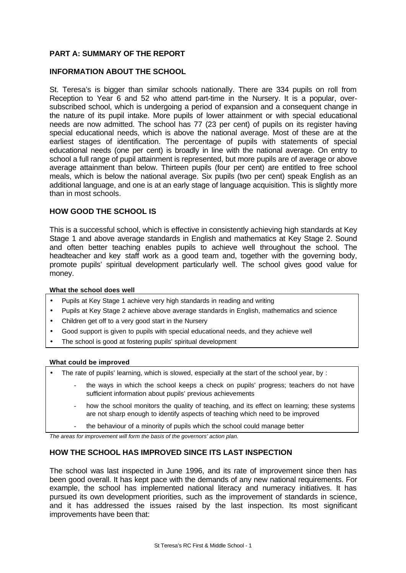# **PART A: SUMMARY OF THE REPORT**

## **INFORMATION ABOUT THE SCHOOL**

St. Teresa's is bigger than similar schools nationally. There are 334 pupils on roll from Reception to Year 6 and 52 who attend part-time in the Nursery. It is a popular, oversubscribed school, which is undergoing a period of expansion and a consequent change in the nature of its pupil intake. More pupils of lower attainment or with special educational needs are now admitted. The school has 77 (23 per cent) of pupils on its register having special educational needs, which is above the national average. Most of these are at the earliest stages of identification. The percentage of pupils with statements of special educational needs (one per cent) is broadly in line with the national average. On entry to school a full range of pupil attainment is represented, but more pupils are of average or above average attainment than below. Thirteen pupils (four per cent) are entitled to free school meals, which is below the national average. Six pupils (two per cent) speak English as an additional language, and one is at an early stage of language acquisition. This is slightly more than in most schools.

## **HOW GOOD THE SCHOOL IS**

This is a successful school, which is effective in consistently achieving high standards at Key Stage 1 and above average standards in English and mathematics at Key Stage 2. Sound and often better teaching enables pupils to achieve well throughout the school. The headteacher and key staff work as a good team and, together with the governing body, promote pupils' spiritual development particularly well. The school gives good value for money.

#### **What the school does well**

- Pupils at Key Stage 1 achieve very high standards in reading and writing
- Pupils at Key Stage 2 achieve above average standards in English, mathematics and science
- Children get off to a very good start in the Nursery
- Good support is given to pupils with special educational needs, and they achieve well
- The school is good at fostering pupils' spiritual development

#### **What could be improved**

- The rate of pupils' learning, which is slowed, especially at the start of the school year, by:
	- the ways in which the school keeps a check on pupils' progress; teachers do not have sufficient information about pupils' previous achievements
	- how the school monitors the quality of teaching, and its effect on learning; these systems are not sharp enough to identify aspects of teaching which need to be improved
	- the behaviour of a minority of pupils which the school could manage better

*The areas for improvement will form the basis of the governors' action plan.*

## **HOW THE SCHOOL HAS IMPROVED SINCE ITS LAST INSPECTION**

The school was last inspected in June 1996, and its rate of improvement since then has been good overall. It has kept pace with the demands of any new national requirements. For example, the school has implemented national literacy and numeracy initiatives. It has pursued its own development priorities, such as the improvement of standards in science, and it has addressed the issues raised by the last inspection. Its most significant improvements have been that: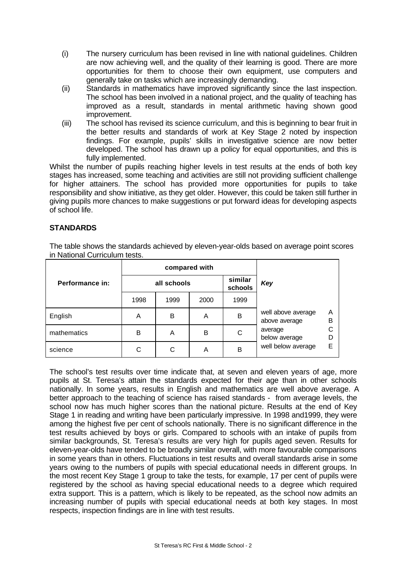- (i) The nursery curriculum has been revised in line with national guidelines. Children are now achieving well, and the quality of their learning is good. There are more opportunities for them to choose their own equipment, use computers and generally take on tasks which are increasingly demanding.
- (ii) Standards in mathematics have improved significantly since the last inspection. The school has been involved in a national project, and the quality of teaching has improved as a result, standards in mental arithmetic having shown good improvement.
- (iii) The school has revised its science curriculum, and this is beginning to bear fruit in the better results and standards of work at Key Stage 2 noted by inspection findings. For example, pupils' skills in investigative science are now better developed. The school has drawn up a policy for equal opportunities, and this is fully implemented.

Whilst the number of pupils reaching higher levels in test results at the ends of both key stages has increased, some teaching and activities are still not providing sufficient challenge for higher attainers. The school has provided more opportunities for pupils to take responsibility and show initiative, as they get older. However, this could be taken still further in giving pupils more chances to make suggestions or put forward ideas for developing aspects of school life.

# **STANDARDS**

The table shows the standards achieved by eleven-year-olds based on average point scores in National Curriculum tests.

|                 | compared with |      |      |                    |                                     |        |
|-----------------|---------------|------|------|--------------------|-------------------------------------|--------|
| Performance in: | all schools   |      |      | similar<br>schools | Key                                 |        |
|                 | 1998          | 1999 | 2000 | 1999               |                                     |        |
| English         | A             | B    | A    | B                  | well above average<br>above average | A<br>B |
| mathematics     | B             | A    | B    | С                  | average<br>below average            | D      |
| science         | С             | С    | A    | B                  | well below average                  | E      |

The school's test results over time indicate that, at seven and eleven years of age, more pupils at St. Teresa's attain the standards expected for their age than in other schools nationally. In some years, results in English and mathematics are well above average. A better approach to the teaching of science has raised standards - from average levels, the school now has much higher scores than the national picture. Results at the end of Key Stage 1 in reading and writing have been particularly impressive. In 1998 and1999, they were among the highest five per cent of schools nationally. There is no significant difference in the test results achieved by boys or girls. Compared to schools with an intake of pupils from similar backgrounds, St. Teresa's results are very high for pupils aged seven. Results for eleven-year-olds have tended to be broadly similar overall, with more favourable comparisons in some years than in others. Fluctuations in test results and overall standards arise in some years owing to the numbers of pupils with special educational needs in different groups. In the most recent Key Stage 1 group to take the tests, for example, 17 per cent of pupils were registered by the school as having special educational needs to a degree which required extra support. This is a pattern, which is likely to be repeated, as the school now admits an increasing number of pupils with special educational needs at both key stages. In most respects, inspection findings are in line with test results.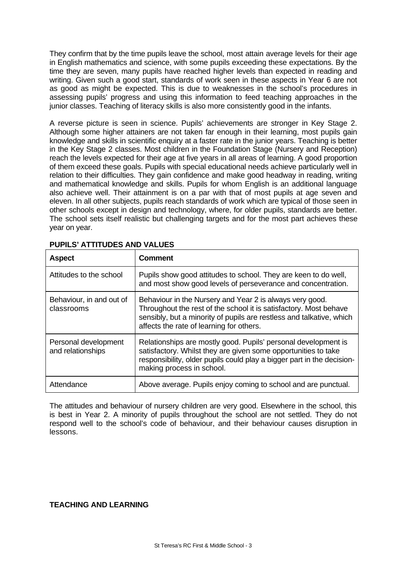They confirm that by the time pupils leave the school, most attain average levels for their age in English mathematics and science, with some pupils exceeding these expectations. By the time they are seven, many pupils have reached higher levels than expected in reading and writing. Given such a good start, standards of work seen in these aspects in Year 6 are not as good as might be expected. This is due to weaknesses in the school's procedures in assessing pupils' progress and using this information to feed teaching approaches in the junior classes. Teaching of literacy skills is also more consistently good in the infants.

A reverse picture is seen in science. Pupils' achievements are stronger in Key Stage 2. Although some higher attainers are not taken far enough in their learning, most pupils gain knowledge and skills in scientific enquiry at a faster rate in the junior years. Teaching is better in the Key Stage 2 classes. Most children in the Foundation Stage (Nursery and Reception) reach the levels expected for their age at five years in all areas of learning. A good proportion of them exceed these goals. Pupils with special educational needs achieve particularly well in relation to their difficulties. They gain confidence and make good headway in reading, writing and mathematical knowledge and skills. Pupils for whom English is an additional language also achieve well. Their attainment is on a par with that of most pupils at age seven and eleven. In all other subjects, pupils reach standards of work which are typical of those seen in other schools except in design and technology, where, for older pupils, standards are better. The school sets itself realistic but challenging targets and for the most part achieves these year on year.

| <b>Aspect</b>                             | <b>Comment</b>                                                                                                                                                                                                                                    |
|-------------------------------------------|---------------------------------------------------------------------------------------------------------------------------------------------------------------------------------------------------------------------------------------------------|
| Attitudes to the school                   | Pupils show good attitudes to school. They are keen to do well,<br>and most show good levels of perseverance and concentration.                                                                                                                   |
| Behaviour, in and out of<br>classrooms    | Behaviour in the Nursery and Year 2 is always very good.<br>Throughout the rest of the school it is satisfactory. Most behave<br>sensibly, but a minority of pupils are restless and talkative, which<br>affects the rate of learning for others. |
| Personal development<br>and relationships | Relationships are mostly good. Pupils' personal development is<br>satisfactory. Whilst they are given some opportunities to take<br>responsibility, older pupils could play a bigger part in the decision-<br>making process in school.           |
| Attendance                                | Above average. Pupils enjoy coming to school and are punctual.                                                                                                                                                                                    |

# **PUPILS' ATTITUDES AND VALUES**

The attitudes and behaviour of nursery children are very good. Elsewhere in the school, this is best in Year 2. A minority of pupils throughout the school are not settled. They do not respond well to the school's code of behaviour, and their behaviour causes disruption in lessons.

# **TEACHING AND LEARNING**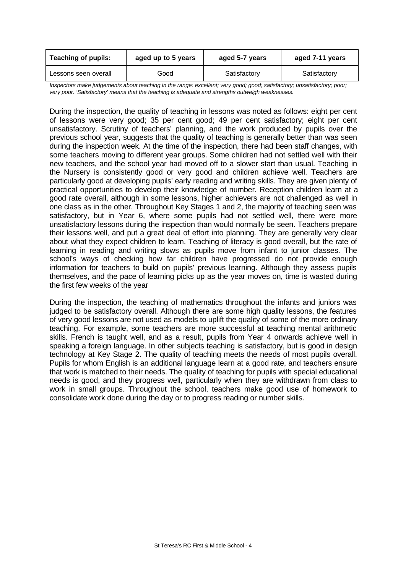| <b>Teaching of pupils:</b> | aged up to 5 years | aged 5-7 years | aged 7-11 years |  |
|----------------------------|--------------------|----------------|-----------------|--|
| Lessons seen overall       | Good               | Satisfactory   | Satisfactory    |  |

*Inspectors make judgements about teaching in the range: excellent; very good; good; satisfactory; unsatisfactory; poor; very poor. 'Satisfactory' means that the teaching is adequate and strengths outweigh weaknesses.*

During the inspection, the quality of teaching in lessons was noted as follows: eight per cent of lessons were very good; 35 per cent good; 49 per cent satisfactory; eight per cent unsatisfactory. Scrutiny of teachers' planning, and the work produced by pupils over the previous school year, suggests that the quality of teaching is generally better than was seen during the inspection week. At the time of the inspection, there had been staff changes, with some teachers moving to different year groups. Some children had not settled well with their new teachers, and the school year had moved off to a slower start than usual. Teaching in the Nursery is consistently good or very good and children achieve well. Teachers are particularly good at developing pupils' early reading and writing skills. They are given plenty of practical opportunities to develop their knowledge of number. Reception children learn at a good rate overall, although in some lessons, higher achievers are not challenged as well in one class as in the other. Throughout Key Stages 1 and 2, the majority of teaching seen was satisfactory, but in Year 6, where some pupils had not settled well, there were more unsatisfactory lessons during the inspection than would normally be seen. Teachers prepare their lessons well, and put a great deal of effort into planning. They are generally very clear about what they expect children to learn. Teaching of literacy is good overall, but the rate of learning in reading and writing slows as pupils move from infant to junior classes. The school's ways of checking how far children have progressed do not provide enough information for teachers to build on pupils' previous learning. Although they assess pupils themselves, and the pace of learning picks up as the year moves on, time is wasted during the first few weeks of the year

During the inspection, the teaching of mathematics throughout the infants and juniors was judged to be satisfactory overall. Although there are some high quality lessons, the features of very good lessons are not used as models to uplift the quality of some of the more ordinary teaching. For example, some teachers are more successful at teaching mental arithmetic skills. French is taught well, and as a result, pupils from Year 4 onwards achieve well in speaking a foreign language. In other subjects teaching is satisfactory, but is good in design technology at Key Stage 2. The quality of teaching meets the needs of most pupils overall. Pupils for whom English is an additional language learn at a good rate, and teachers ensure that work is matched to their needs. The quality of teaching for pupils with special educational needs is good, and they progress well, particularly when they are withdrawn from class to work in small groups. Throughout the school, teachers make good use of homework to consolidate work done during the day or to progress reading or number skills.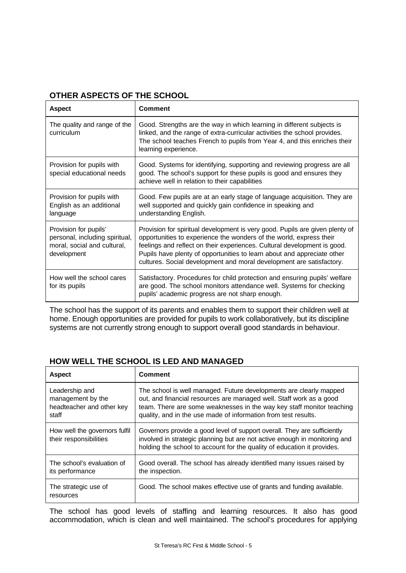| OTHER ASPECTS OF THE SCHOOL |  |
|-----------------------------|--|
|                             |  |

| <b>Aspect</b>                                                                                         | <b>Comment</b>                                                                                                                                                                                                                                                                                                                                                                     |
|-------------------------------------------------------------------------------------------------------|------------------------------------------------------------------------------------------------------------------------------------------------------------------------------------------------------------------------------------------------------------------------------------------------------------------------------------------------------------------------------------|
| The quality and range of the<br>curriculum                                                            | Good. Strengths are the way in which learning in different subjects is<br>linked, and the range of extra-curricular activities the school provides.<br>The school teaches French to pupils from Year 4, and this enriches their<br>learning experience.                                                                                                                            |
| Provision for pupils with<br>special educational needs                                                | Good. Systems for identifying, supporting and reviewing progress are all<br>good. The school's support for these pupils is good and ensures they<br>achieve well in relation to their capabilities                                                                                                                                                                                 |
| Provision for pupils with<br>English as an additional<br>language                                     | Good. Few pupils are at an early stage of language acquisition. They are<br>well supported and quickly gain confidence in speaking and<br>understanding English.                                                                                                                                                                                                                   |
| Provision for pupils'<br>personal, including spiritual,<br>moral, social and cultural,<br>development | Provision for spiritual development is very good. Pupils are given plenty of<br>opportunities to experience the wonders of the world, express their<br>feelings and reflect on their experiences. Cultural development is good.<br>Pupils have plenty of opportunities to learn about and appreciate other<br>cultures. Social development and moral development are satisfactory. |
| How well the school cares<br>for its pupils                                                           | Satisfactory. Procedures for child protection and ensuring pupils' welfare<br>are good. The school monitors attendance well. Systems for checking<br>pupils' academic progress are not sharp enough.                                                                                                                                                                               |

The school has the support of its parents and enables them to support their children well at home. Enough opportunities are provided for pupils to work collaboratively, but its discipline systems are not currently strong enough to support overall good standards in behaviour.

| <b>Aspect</b>                                                             | Comment                                                                                                                                                                                                                                                                              |
|---------------------------------------------------------------------------|--------------------------------------------------------------------------------------------------------------------------------------------------------------------------------------------------------------------------------------------------------------------------------------|
| Leadership and<br>management by the<br>headteacher and other key<br>staff | The school is well managed. Future developments are clearly mapped<br>out, and financial resources are managed well. Staff work as a good<br>team. There are some weaknesses in the way key staff monitor teaching<br>quality, and in the use made of information from test results. |
| How well the governors fulfil<br>their responsibilities                   | Governors provide a good level of support overall. They are sufficiently<br>involved in strategic planning but are not active enough in monitoring and<br>holding the school to account for the quality of education it provides.                                                    |
| The school's evaluation of<br>its performance                             | Good overall. The school has already identified many issues raised by<br>the inspection.                                                                                                                                                                                             |
| The strategic use of<br>resources                                         | Good. The school makes effective use of grants and funding available.                                                                                                                                                                                                                |

The school has good levels of staffing and learning resources. It also has good accommodation, which is clean and well maintained. The school's procedures for applying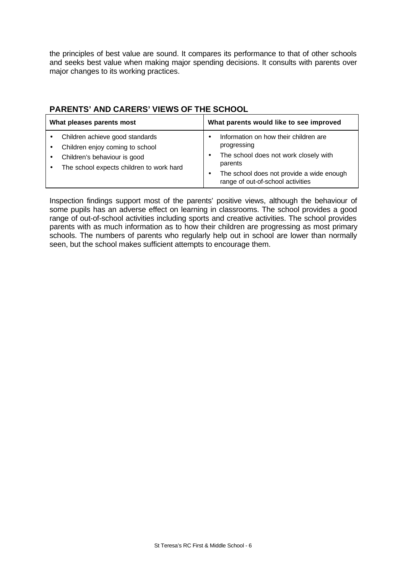the principles of best value are sound. It compares its performance to that of other schools and seeks best value when making major spending decisions. It consults with parents over major changes to its working practices.

| What pleases parents most                                                                                                                      | What parents would like to see improved                                                                                                                                                    |
|------------------------------------------------------------------------------------------------------------------------------------------------|--------------------------------------------------------------------------------------------------------------------------------------------------------------------------------------------|
| Children achieve good standards<br>Children enjoy coming to school<br>Children's behaviour is good<br>The school expects children to work hard | Information on how their children are<br>progressing<br>The school does not work closely with<br>parents<br>The school does not provide a wide enough<br>range of out-of-school activities |

# **PARENTS' AND CARERS' VIEWS OF THE SCHOOL**

Inspection findings support most of the parents' positive views, although the behaviour of some pupils has an adverse effect on learning in classrooms. The school provides a good range of out-of-school activities including sports and creative activities. The school provides parents with as much information as to how their children are progressing as most primary schools. The numbers of parents who regularly help out in school are lower than normally seen, but the school makes sufficient attempts to encourage them.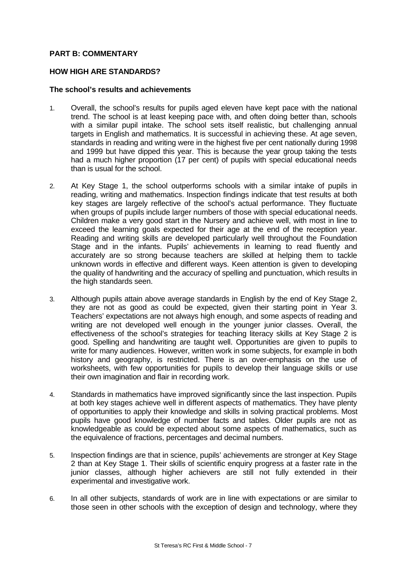# **PART B: COMMENTARY**

# **HOW HIGH ARE STANDARDS?**

#### **The school's results and achievements**

- 1. Overall, the school's results for pupils aged eleven have kept pace with the national trend. The school is at least keeping pace with, and often doing better than, schools with a similar pupil intake. The school sets itself realistic, but challenging annual targets in English and mathematics. It is successful in achieving these. At age seven, standards in reading and writing were in the highest five per cent nationally during 1998 and 1999 but have dipped this year. This is because the year group taking the tests had a much higher proportion (17 per cent) of pupils with special educational needs than is usual for the school.
- 2. At Key Stage 1, the school outperforms schools with a similar intake of pupils in reading, writing and mathematics. Inspection findings indicate that test results at both key stages are largely reflective of the school's actual performance. They fluctuate when groups of pupils include larger numbers of those with special educational needs. Children make a very good start in the Nursery and achieve well, with most in line to exceed the learning goals expected for their age at the end of the reception year. Reading and writing skills are developed particularly well throughout the Foundation Stage and in the infants. Pupils' achievements in learning to read fluently and accurately are so strong because teachers are skilled at helping them to tackle unknown words in effective and different ways. Keen attention is given to developing the quality of handwriting and the accuracy of spelling and punctuation, which results in the high standards seen.
- 3. Although pupils attain above average standards in English by the end of Key Stage 2, they are not as good as could be expected, given their starting point in Year 3. Teachers' expectations are not always high enough, and some aspects of reading and writing are not developed well enough in the younger junior classes. Overall, the effectiveness of the school's strategies for teaching literacy skills at Key Stage 2 is good. Spelling and handwriting are taught well. Opportunities are given to pupils to write for many audiences. However, written work in some subjects, for example in both history and geography, is restricted. There is an over-emphasis on the use of worksheets, with few opportunities for pupils to develop their language skills or use their own imagination and flair in recording work.
- 4. Standards in mathematics have improved significantly since the last inspection. Pupils at both key stages achieve well in different aspects of mathematics. They have plenty of opportunities to apply their knowledge and skills in solving practical problems. Most pupils have good knowledge of number facts and tables. Older pupils are not as knowledgeable as could be expected about some aspects of mathematics, such as the equivalence of fractions, percentages and decimal numbers.
- 5. Inspection findings are that in science, pupils' achievements are stronger at Key Stage 2 than at Key Stage 1. Their skills of scientific enquiry progress at a faster rate in the junior classes, although higher achievers are still not fully extended in their experimental and investigative work.
- 6. In all other subjects, standards of work are in line with expectations or are similar to those seen in other schools with the exception of design and technology, where they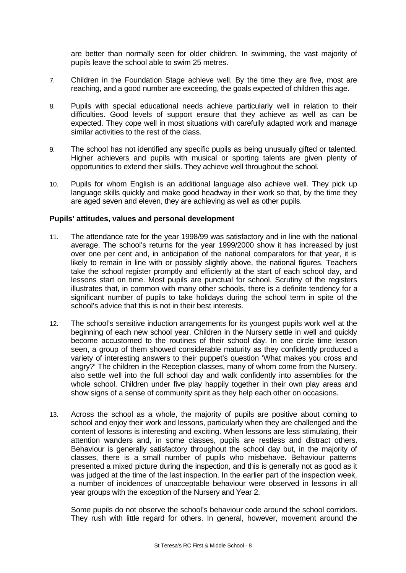are better than normally seen for older children. In swimming, the vast majority of pupils leave the school able to swim 25 metres.

- 7. Children in the Foundation Stage achieve well. By the time they are five, most are reaching, and a good number are exceeding, the goals expected of children this age.
- 8. Pupils with special educational needs achieve particularly well in relation to their difficulties. Good levels of support ensure that they achieve as well as can be expected. They cope well in most situations with carefully adapted work and manage similar activities to the rest of the class.
- 9. The school has not identified any specific pupils as being unusually gifted or talented. Higher achievers and pupils with musical or sporting talents are given plenty of opportunities to extend their skills. They achieve well throughout the school.
- 10. Pupils for whom English is an additional language also achieve well. They pick up language skills quickly and make good headway in their work so that, by the time they are aged seven and eleven, they are achieving as well as other pupils.

### **Pupils' attitudes, values and personal development**

- 11. The attendance rate for the year 1998/99 was satisfactory and in line with the national average. The school's returns for the year 1999/2000 show it has increased by just over one per cent and, in anticipation of the national comparators for that year, it is likely to remain in line with or possibly slightly above, the national figures. Teachers take the school register promptly and efficiently at the start of each school day, and lessons start on time. Most pupils are punctual for school. Scrutiny of the registers illustrates that, in common with many other schools, there is a definite tendency for a significant number of pupils to take holidays during the school term in spite of the school's advice that this is not in their best interests.
- 12. The school's sensitive induction arrangements for its youngest pupils work well at the beginning of each new school year. Children in the Nursery settle in well and quickly become accustomed to the routines of their school day. In one circle time lesson seen, a group of them showed considerable maturity as they confidently produced a variety of interesting answers to their puppet's question 'What makes you cross and angry?' The children in the Reception classes, many of whom come from the Nursery, also settle well into the full school day and walk confidently into assemblies for the whole school. Children under five play happily together in their own play areas and show signs of a sense of community spirit as they help each other on occasions.
- 13. Across the school as a whole, the majority of pupils are positive about coming to school and enjoy their work and lessons, particularly when they are challenged and the content of lessons is interesting and exciting. When lessons are less stimulating, their attention wanders and, in some classes, pupils are restless and distract others. Behaviour is generally satisfactory throughout the school day but, in the majority of classes, there is a small number of pupils who misbehave. Behaviour patterns presented a mixed picture during the inspection, and this is generally not as good as it was judged at the time of the last inspection. In the earlier part of the inspection week, a number of incidences of unacceptable behaviour were observed in lessons in all year groups with the exception of the Nursery and Year 2.

Some pupils do not observe the school's behaviour code around the school corridors. They rush with little regard for others. In general, however, movement around the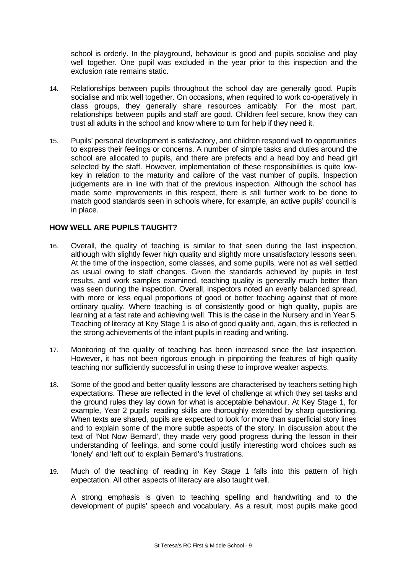school is orderly. In the playground, behaviour is good and pupils socialise and play well together. One pupil was excluded in the year prior to this inspection and the exclusion rate remains static.

- 14. Relationships between pupils throughout the school day are generally good. Pupils socialise and mix well together. On occasions, when required to work co-operatively in class groups, they generally share resources amicably. For the most part, relationships between pupils and staff are good. Children feel secure, know they can trust all adults in the school and know where to turn for help if they need it.
- 15. Pupils' personal development is satisfactory, and children respond well to opportunities to express their feelings or concerns. A number of simple tasks and duties around the school are allocated to pupils, and there are prefects and a head boy and head girl selected by the staff. However, implementation of these responsibilities is quite lowkey in relation to the maturity and calibre of the vast number of pupils. Inspection judgements are in line with that of the previous inspection. Although the school has made some improvements in this respect, there is still further work to be done to match good standards seen in schools where, for example, an active pupils' council is in place.

# **HOW WELL ARE PUPILS TAUGHT?**

- 16. Overall, the quality of teaching is similar to that seen during the last inspection, although with slightly fewer high quality and slightly more unsatisfactory lessons seen. At the time of the inspection, some classes, and some pupils, were not as well settled as usual owing to staff changes. Given the standards achieved by pupils in test results, and work samples examined, teaching quality is generally much better than was seen during the inspection. Overall, inspectors noted an evenly balanced spread, with more or less equal proportions of good or better teaching against that of more ordinary quality. Where teaching is of consistently good or high quality, pupils are learning at a fast rate and achieving well. This is the case in the Nursery and in Year 5. Teaching of literacy at Key Stage 1 is also of good quality and, again, this is reflected in the strong achievements of the infant pupils in reading and writing.
- 17. Monitoring of the quality of teaching has been increased since the last inspection. However, it has not been rigorous enough in pinpointing the features of high quality teaching nor sufficiently successful in using these to improve weaker aspects.
- 18. Some of the good and better quality lessons are characterised by teachers setting high expectations. These are reflected in the level of challenge at which they set tasks and the ground rules they lay down for what is acceptable behaviour. At Key Stage 1, for example, Year 2 pupils' reading skills are thoroughly extended by sharp questioning. When texts are shared, pupils are expected to look for more than superficial story lines and to explain some of the more subtle aspects of the story. In discussion about the text of 'Not Now Bernard', they made very good progress during the lesson in their understanding of feelings, and some could justify interesting word choices such as 'lonely' and 'left out' to explain Bernard's frustrations.
- 19. Much of the teaching of reading in Key Stage 1 falls into this pattern of high expectation. All other aspects of literacy are also taught well.

A strong emphasis is given to teaching spelling and handwriting and to the development of pupils' speech and vocabulary. As a result, most pupils make good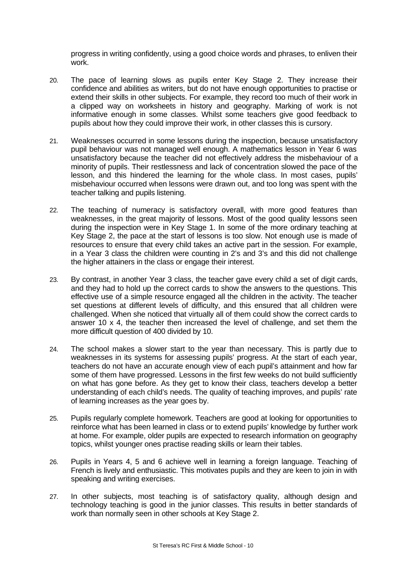progress in writing confidently, using a good choice words and phrases, to enliven their work.

- 20. The pace of learning slows as pupils enter Key Stage 2. They increase their confidence and abilities as writers, but do not have enough opportunities to practise or extend their skills in other subjects. For example, they record too much of their work in a clipped way on worksheets in history and geography. Marking of work is not informative enough in some classes. Whilst some teachers give good feedback to pupils about how they could improve their work, in other classes this is cursory.
- 21. Weaknesses occurred in some lessons during the inspection, because unsatisfactory pupil behaviour was not managed well enough. A mathematics lesson in Year 6 was unsatisfactory because the teacher did not effectively address the misbehaviour of a minority of pupils. Their restlessness and lack of concentration slowed the pace of the lesson, and this hindered the learning for the whole class. In most cases, pupils' misbehaviour occurred when lessons were drawn out, and too long was spent with the teacher talking and pupils listening.
- 22. The teaching of numeracy is satisfactory overall, with more good features than weaknesses, in the great majority of lessons. Most of the good quality lessons seen during the inspection were in Key Stage 1. In some of the more ordinary teaching at Key Stage 2, the pace at the start of lessons is too slow. Not enough use is made of resources to ensure that every child takes an active part in the session. For example, in a Year 3 class the children were counting in 2's and 3's and this did not challenge the higher attainers in the class or engage their interest.
- 23. By contrast, in another Year 3 class, the teacher gave every child a set of digit cards, and they had to hold up the correct cards to show the answers to the questions. This effective use of a simple resource engaged all the children in the activity. The teacher set questions at different levels of difficulty, and this ensured that all children were challenged. When she noticed that virtually all of them could show the correct cards to answer 10 x 4, the teacher then increased the level of challenge, and set them the more difficult question of 400 divided by 10.
- 24. The school makes a slower start to the year than necessary. This is partly due to weaknesses in its systems for assessing pupils' progress. At the start of each year, teachers do not have an accurate enough view of each pupil's attainment and how far some of them have progressed. Lessons in the first few weeks do not build sufficiently on what has gone before. As they get to know their class, teachers develop a better understanding of each child's needs. The quality of teaching improves, and pupils' rate of learning increases as the year goes by.
- 25. Pupils regularly complete homework. Teachers are good at looking for opportunities to reinforce what has been learned in class or to extend pupils' knowledge by further work at home. For example, older pupils are expected to research information on geography topics, whilst younger ones practise reading skills or learn their tables.
- 26. Pupils in Years 4, 5 and 6 achieve well in learning a foreign language. Teaching of French is lively and enthusiastic. This motivates pupils and they are keen to join in with speaking and writing exercises.
- 27. In other subjects, most teaching is of satisfactory quality, although design and technology teaching is good in the junior classes. This results in better standards of work than normally seen in other schools at Key Stage 2.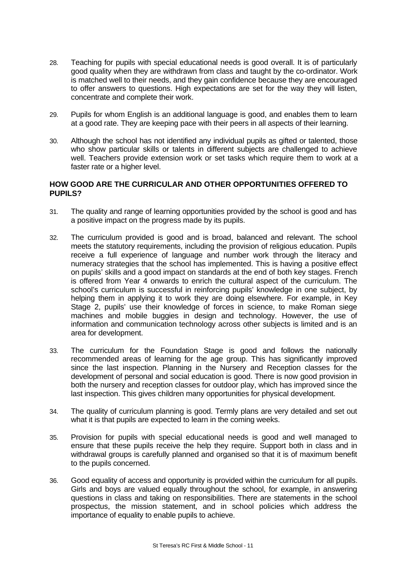- 28. Teaching for pupils with special educational needs is good overall. It is of particularly good quality when they are withdrawn from class and taught by the co-ordinator. Work is matched well to their needs, and they gain confidence because they are encouraged to offer answers to questions. High expectations are set for the way they will listen, concentrate and complete their work.
- 29. Pupils for whom English is an additional language is good, and enables them to learn at a good rate. They are keeping pace with their peers in all aspects of their learning.
- 30. Although the school has not identified any individual pupils as gifted or talented, those who show particular skills or talents in different subjects are challenged to achieve well. Teachers provide extension work or set tasks which require them to work at a faster rate or a higher level.

# **HOW GOOD ARE THE CURRICULAR AND OTHER OPPORTUNITIES OFFERED TO PUPILS?**

- 31. The quality and range of learning opportunities provided by the school is good and has a positive impact on the progress made by its pupils.
- 32. The curriculum provided is good and is broad, balanced and relevant. The school meets the statutory requirements, including the provision of religious education. Pupils receive a full experience of language and number work through the literacy and numeracy strategies that the school has implemented. This is having a positive effect on pupils' skills and a good impact on standards at the end of both key stages. French is offered from Year 4 onwards to enrich the cultural aspect of the curriculum. The school's curriculum is successful in reinforcing pupils' knowledge in one subject, by helping them in applying it to work they are doing elsewhere. For example, in Key Stage 2, pupils' use their knowledge of forces in science, to make Roman siege machines and mobile buggies in design and technology. However, the use of information and communication technology across other subjects is limited and is an area for development.
- 33. The curriculum for the Foundation Stage is good and follows the nationally recommended areas of learning for the age group. This has significantly improved since the last inspection. Planning in the Nursery and Reception classes for the development of personal and social education is good. There is now good provision in both the nursery and reception classes for outdoor play, which has improved since the last inspection. This gives children many opportunities for physical development.
- 34. The quality of curriculum planning is good. Termly plans are very detailed and set out what it is that pupils are expected to learn in the coming weeks.
- 35. Provision for pupils with special educational needs is good and well managed to ensure that these pupils receive the help they require. Support both in class and in withdrawal groups is carefully planned and organised so that it is of maximum benefit to the pupils concerned.
- 36. Good equality of access and opportunity is provided within the curriculum for all pupils. Girls and boys are valued equally throughout the school, for example, in answering questions in class and taking on responsibilities. There are statements in the school prospectus, the mission statement, and in school policies which address the importance of equality to enable pupils to achieve.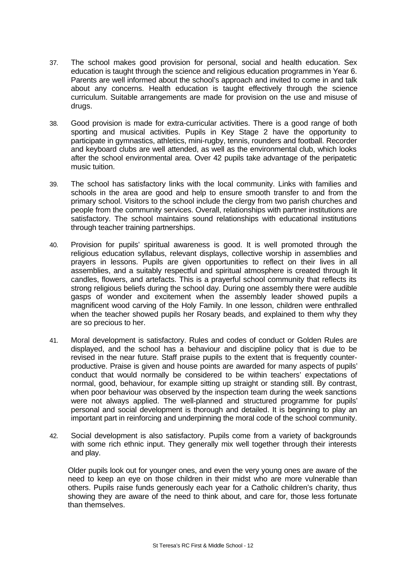- 37. The school makes good provision for personal, social and health education. Sex education is taught through the science and religious education programmes in Year 6. Parents are well informed about the school's approach and invited to come in and talk about any concerns. Health education is taught effectively through the science curriculum. Suitable arrangements are made for provision on the use and misuse of drugs.
- 38. Good provision is made for extra-curricular activities. There is a good range of both sporting and musical activities. Pupils in Key Stage 2 have the opportunity to participate in gymnastics, athletics, mini-rugby, tennis, rounders and football. Recorder and keyboard clubs are well attended, as well as the environmental club, which looks after the school environmental area. Over 42 pupils take advantage of the peripatetic music tuition.
- 39. The school has satisfactory links with the local community. Links with families and schools in the area are good and help to ensure smooth transfer to and from the primary school. Visitors to the school include the clergy from two parish churches and people from the community services. Overall, relationships with partner institutions are satisfactory. The school maintains sound relationships with educational institutions through teacher training partnerships.
- 40. Provision for pupils' spiritual awareness is good. It is well promoted through the religious education syllabus, relevant displays, collective worship in assemblies and prayers in lessons. Pupils are given opportunities to reflect on their lives in all assemblies, and a suitably respectful and spiritual atmosphere is created through lit candles, flowers, and artefacts. This is a prayerful school community that reflects its strong religious beliefs during the school day. During one assembly there were audible gasps of wonder and excitement when the assembly leader showed pupils a magnificent wood carving of the Holy Family. In one lesson, children were enthralled when the teacher showed pupils her Rosary beads, and explained to them why they are so precious to her.
- 41. Moral development is satisfactory. Rules and codes of conduct or Golden Rules are displayed, and the school has a behaviour and discipline policy that is due to be revised in the near future. Staff praise pupils to the extent that is frequently counterproductive. Praise is given and house points are awarded for many aspects of pupils' conduct that would normally be considered to be within teachers' expectations of normal, good, behaviour, for example sitting up straight or standing still. By contrast, when poor behaviour was observed by the inspection team during the week sanctions were not always applied. The well-planned and structured programme for pupils' personal and social development is thorough and detailed. It is beginning to play an important part in reinforcing and underpinning the moral code of the school community.
- 42. Social development is also satisfactory. Pupils come from a variety of backgrounds with some rich ethnic input. They generally mix well together through their interests and play.

Older pupils look out for younger ones, and even the very young ones are aware of the need to keep an eye on those children in their midst who are more vulnerable than others. Pupils raise funds generously each year for a Catholic children's charity, thus showing they are aware of the need to think about, and care for, those less fortunate than themselves.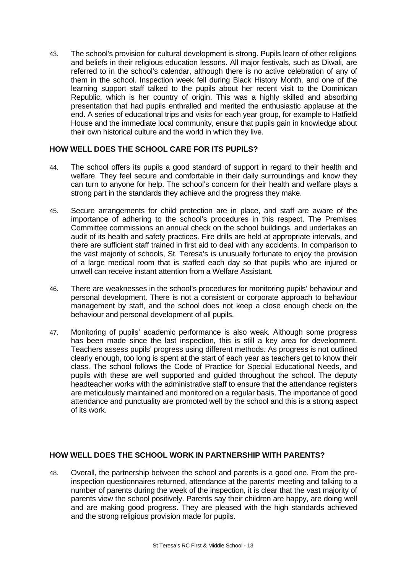43. The school's provision for cultural development is strong. Pupils learn of other religions and beliefs in their religious education lessons. All major festivals, such as Diwali, are referred to in the school's calendar, although there is no active celebration of any of them in the school. Inspection week fell during Black History Month, and one of the learning support staff talked to the pupils about her recent visit to the Dominican Republic, which is her country of origin. This was a highly skilled and absorbing presentation that had pupils enthralled and merited the enthusiastic applause at the end. A series of educational trips and visits for each year group, for example to Hatfield House and the immediate local community, ensure that pupils gain in knowledge about their own historical culture and the world in which they live.

# **HOW WELL DOES THE SCHOOL CARE FOR ITS PUPILS?**

- 44. The school offers its pupils a good standard of support in regard to their health and welfare. They feel secure and comfortable in their daily surroundings and know they can turn to anyone for help. The school's concern for their health and welfare plays a strong part in the standards they achieve and the progress they make.
- 45. Secure arrangements for child protection are in place, and staff are aware of the importance of adhering to the school's procedures in this respect. The Premises Committee commissions an annual check on the school buildings, and undertakes an audit of its health and safety practices. Fire drills are held at appropriate intervals, and there are sufficient staff trained in first aid to deal with any accidents. In comparison to the vast majority of schools, St. Teresa's is unusually fortunate to enjoy the provision of a large medical room that is staffed each day so that pupils who are injured or unwell can receive instant attention from a Welfare Assistant.
- 46. There are weaknesses in the school's procedures for monitoring pupils' behaviour and personal development. There is not a consistent or corporate approach to behaviour management by staff, and the school does not keep a close enough check on the behaviour and personal development of all pupils.
- 47. Monitoring of pupils' academic performance is also weak. Although some progress has been made since the last inspection, this is still a key area for development. Teachers assess pupils' progress using different methods. As progress is not outlined clearly enough, too long is spent at the start of each year as teachers get to know their class. The school follows the Code of Practice for Special Educational Needs, and pupils with these are well supported and guided throughout the school. The deputy headteacher works with the administrative staff to ensure that the attendance registers are meticulously maintained and monitored on a regular basis. The importance of good attendance and punctuality are promoted well by the school and this is a strong aspect of its work.

# **HOW WELL DOES THE SCHOOL WORK IN PARTNERSHIP WITH PARENTS?**

48. Overall, the partnership between the school and parents is a good one. From the preinspection questionnaires returned, attendance at the parents' meeting and talking to a number of parents during the week of the inspection, it is clear that the vast majority of parents view the school positively. Parents say their children are happy, are doing well and are making good progress. They are pleased with the high standards achieved and the strong religious provision made for pupils.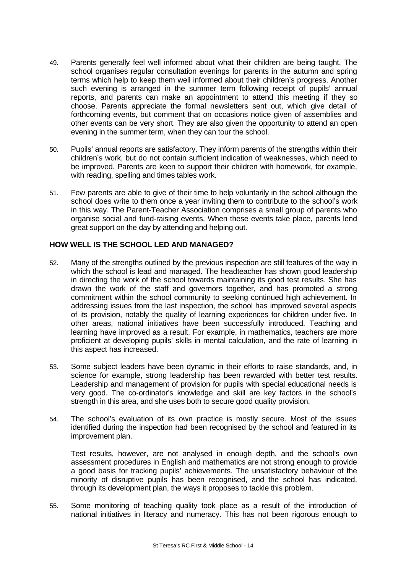- 49. Parents generally feel well informed about what their children are being taught. The school organises regular consultation evenings for parents in the autumn and spring terms which help to keep them well informed about their children's progress. Another such evening is arranged in the summer term following receipt of pupils' annual reports, and parents can make an appointment to attend this meeting if they so choose. Parents appreciate the formal newsletters sent out, which give detail of forthcoming events, but comment that on occasions notice given of assemblies and other events can be very short. They are also given the opportunity to attend an open evening in the summer term, when they can tour the school.
- 50. Pupils' annual reports are satisfactory. They inform parents of the strengths within their children's work, but do not contain sufficient indication of weaknesses, which need to be improved. Parents are keen to support their children with homework, for example, with reading, spelling and times tables work.
- 51. Few parents are able to give of their time to help voluntarily in the school although the school does write to them once a year inviting them to contribute to the school's work in this way. The Parent-Teacher Association comprises a small group of parents who organise social and fund-raising events. When these events take place, parents lend great support on the day by attending and helping out.

# **HOW WELL IS THE SCHOOL LED AND MANAGED?**

- 52. Many of the strengths outlined by the previous inspection are still features of the way in which the school is lead and managed. The headteacher has shown good leadership in directing the work of the school towards maintaining its good test results. She has drawn the work of the staff and governors together, and has promoted a strong commitment within the school community to seeking continued high achievement. In addressing issues from the last inspection, the school has improved several aspects of its provision, notably the quality of learning experiences for children under five. In other areas, national initiatives have been successfully introduced. Teaching and learning have improved as a result. For example, in mathematics, teachers are more proficient at developing pupils' skills in mental calculation, and the rate of learning in this aspect has increased.
- 53. Some subject leaders have been dynamic in their efforts to raise standards, and, in science for example, strong leadership has been rewarded with better test results. Leadership and management of provision for pupils with special educational needs is very good. The co-ordinator's knowledge and skill are key factors in the school's strength in this area, and she uses both to secure good quality provision.
- 54. The school's evaluation of its own practice is mostly secure. Most of the issues identified during the inspection had been recognised by the school and featured in its improvement plan.

Test results, however, are not analysed in enough depth, and the school's own assessment procedures in English and mathematics are not strong enough to provide a good basis for tracking pupils' achievements. The unsatisfactory behaviour of the minority of disruptive pupils has been recognised, and the school has indicated, through its development plan, the ways it proposes to tackle this problem.

55. Some monitoring of teaching quality took place as a result of the introduction of national initiatives in literacy and numeracy. This has not been rigorous enough to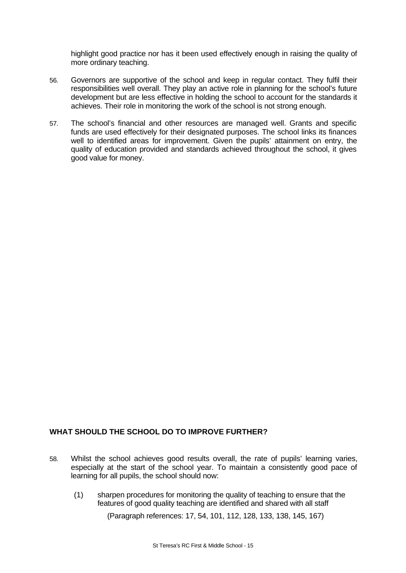highlight good practice nor has it been used effectively enough in raising the quality of more ordinary teaching.

- 56. Governors are supportive of the school and keep in regular contact. They fulfil their responsibilities well overall. They play an active role in planning for the school's future development but are less effective in holding the school to account for the standards it achieves. Their role in monitoring the work of the school is not strong enough.
- 57. The school's financial and other resources are managed well. Grants and specific funds are used effectively for their designated purposes. The school links its finances well to identified areas for improvement. Given the pupils' attainment on entry, the quality of education provided and standards achieved throughout the school, it gives good value for money.

# **WHAT SHOULD THE SCHOOL DO TO IMPROVE FURTHER?**

- 58. Whilst the school achieves good results overall, the rate of pupils' learning varies, especially at the start of the school year. To maintain a consistently good pace of learning for all pupils, the school should now:
	- (1) sharpen procedures for monitoring the quality of teaching to ensure that the features of good quality teaching are identified and shared with all staff

(Paragraph references: 17, 54, 101, 112, 128, 133, 138, 145, 167)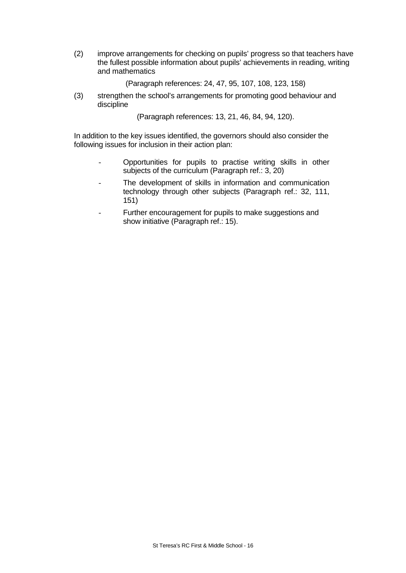(2) improve arrangements for checking on pupils' progress so that teachers have the fullest possible information about pupils' achievements in reading, writing and mathematics

(Paragraph references: 24, 47, 95, 107, 108, 123, 158)

(3) strengthen the school's arrangements for promoting good behaviour and discipline

(Paragraph references: 13, 21, 46, 84, 94, 120).

In addition to the key issues identified, the governors should also consider the following issues for inclusion in their action plan:

- Opportunities for pupils to practise writing skills in other subjects of the curriculum (Paragraph ref.: 3, 20)
- The development of skills in information and communication technology through other subjects (Paragraph ref.: 32, 111, 151)
- Further encouragement for pupils to make suggestions and show initiative (Paragraph ref.: 15).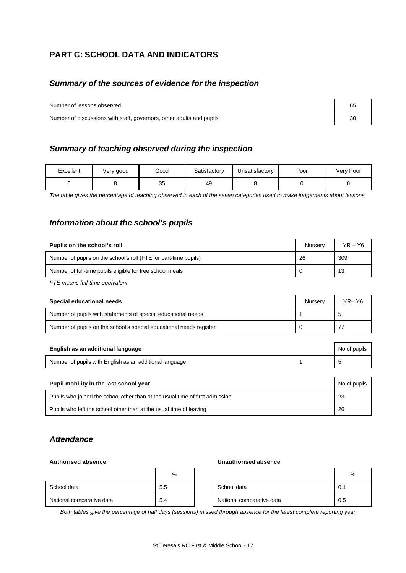# **PART C: SCHOOL DATA AND INDICATORS**

# *Summary of the sources of evidence for the inspection*

Number of lessons observed

Number of discussions with staff, governors, other adults and pupils

# *Summary of teaching observed during the inspection*

| Excellent | Very good | Good     | Satisfactory | Jnsatisfactory | Poor | Very Poor |
|-----------|-----------|----------|--------------|----------------|------|-----------|
|           |           | 35<br>ບບ | 49           |                |      |           |

*The table gives the percentage of teaching observed in each of the seven categories used to make judgements about lessons.*

# *Information about the school's pupils*

| Pupils on the school's roll                                      | <b>Nurserv</b> | $YR - Y6$ |
|------------------------------------------------------------------|----------------|-----------|
| Number of pupils on the school's roll (FTE for part-time pupils) | 26             | 309       |
| Number of full-time pupils eligible for free school meals        | 0              | 13        |
| FTE means full-time equivalent.                                  |                |           |
|                                                                  |                |           |

| Special educational needs                                           | Nurserv | YR-Y6 |
|---------------------------------------------------------------------|---------|-------|
| Number of pupils with statements of special educational needs       |         |       |
| Number of pupils on the school's special educational needs register |         |       |

| English as an additional language                       | No of pupils |
|---------------------------------------------------------|--------------|
| Number of pupils with English as an additional language |              |

| Pupil mobility in the last school year                                       | No of pupils |
|------------------------------------------------------------------------------|--------------|
| Pupils who joined the school other than at the usual time of first admission | 23           |
| Pupils who left the school other than at the usual time of leaving           | 26           |

# *Attendance*

#### **Authorised absence Unauthorised absence**

|                           | %   |                           | %   |
|---------------------------|-----|---------------------------|-----|
| School data               | 5.5 | School data               | 0.1 |
| National comparative data | 5.4 | National comparative data | 0.5 |

*Both tables give the percentage of half days (sessions) missed through absence for the latest complete reporting year.*

| 65 |  |
|----|--|
| 30 |  |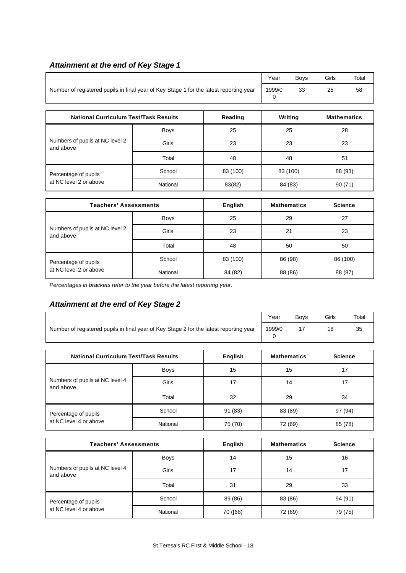# *Attainment at the end of Key Stage 1*

|                                                                                        | Year        | <b>Boys</b> | Girls | Total    |                    |    |  |
|----------------------------------------------------------------------------------------|-------------|-------------|-------|----------|--------------------|----|--|
| Number of registered pupils in final year of Key Stage 1 for the latest reporting year | 1999/0<br>0 | 33          | 25    | 58       |                    |    |  |
| <b>National Curriculum Test/Task Results</b>                                           |             | Reading     |       | Writing  | <b>Mathematics</b> |    |  |
|                                                                                        | <b>Boys</b> | 25          |       | 25       |                    | 28 |  |
| Numbers of pupils at NC level 2<br>and above                                           | Girls       | 23          |       | 23       |                    | 23 |  |
|                                                                                        | Total       | 48          |       | 48       |                    | 51 |  |
| Percentage of pupils                                                                   | School      | 83 (100)    |       | 83 (100) | 88 (93)            |    |  |
| at NC level 2 or above                                                                 | National    | 83(82)      |       | 84 (83)  | 90(71)             |    |  |
|                                                                                        |             |             |       |          |                    |    |  |

| <b>Teachers' Assessments</b>                 |             | English  | <b>Mathematics</b> | <b>Science</b> |
|----------------------------------------------|-------------|----------|--------------------|----------------|
|                                              | <b>Boys</b> | 25       | 29                 | 27             |
| Numbers of pupils at NC level 2<br>and above | Girls       | 23       | 21                 | 23             |
|                                              | Total       | 48       | 50                 | 50             |
| Percentage of pupils                         | School      | 83 (100) | 86 (98)            | 86 (100)       |
| at NC level 2 or above                       | National    | 84 (82)  | 88 (86)            | 88 (87)        |

*Percentages in brackets refer to the year before the latest reporting year.*

# *Attainment at the end of Key Stage 2*

|                                                                                        | Year        | <b>Boys</b> | Girls | Total              |                |  |
|----------------------------------------------------------------------------------------|-------------|-------------|-------|--------------------|----------------|--|
| Number of registered pupils in final year of Key Stage 2 for the latest reporting year | 1999/0<br>0 | 17          | 18    | 35                 |                |  |
| <b>National Curriculum Test/Task Results</b>                                           |             | English     |       | <b>Mathematics</b> | <b>Science</b> |  |
|                                                                                        | Boys        | 15          | 15    |                    | 17             |  |
| Numbers of pupils at NC level 4<br>and above                                           | Girls       | 17          | 14    |                    | 17             |  |
|                                                                                        | Total       | 32          | 29    |                    | 34             |  |
| Percentage of pupils                                                                   | School      | 91 (83)     |       | 83 (89)            | 97 (94)        |  |
| at NC level 4 or above                                                                 | National    | 75 (70)     |       | 72 (69)<br>85 (78) |                |  |

| <b>Teachers' Assessments</b>                 |             | English  | <b>Mathematics</b> | <b>Science</b> |
|----------------------------------------------|-------------|----------|--------------------|----------------|
|                                              | <b>Boys</b> | 14       | 15                 | 16             |
| Numbers of pupils at NC level 4<br>and above | Girls       | 17       | 14                 | 17             |
|                                              | Total       | 31       | 29                 | 33             |
| Percentage of pupils                         | School      | 89 (86)  | 83 (86)            | 94 (91)        |
| at NC level 4 or above                       | National    | 70 ([68) | 72 (69)            | 79 (75)        |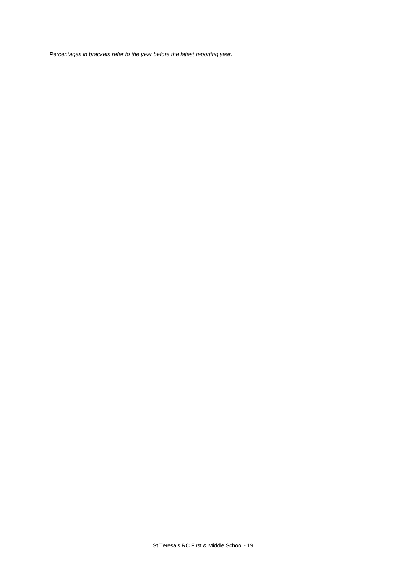*Percentages in brackets refer to the year before the latest reporting year.*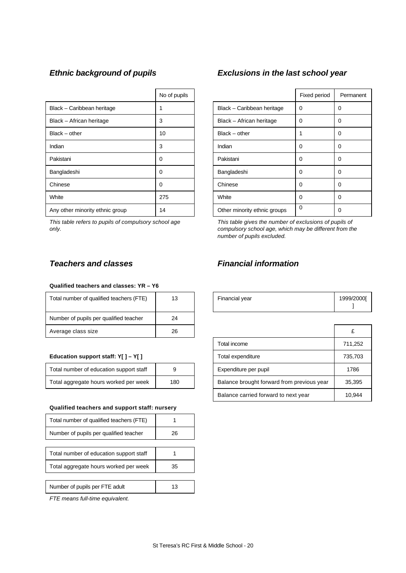|                                 | No of pupils |                              | Fixed period |          |
|---------------------------------|--------------|------------------------------|--------------|----------|
| Black - Caribbean heritage      |              | Black - Caribbean heritage   | 0            | $\Omega$ |
| Black - African heritage        | 3            | Black - African heritage     | $\Omega$     | $\Omega$ |
| $Black - other$                 | 10           | $Black - other$              | 1            | 0        |
| Indian                          | 3            | Indian                       | $\Omega$     | $\Omega$ |
| Pakistani                       | 0            | Pakistani                    | $\Omega$     | $\Omega$ |
| Bangladeshi                     | 0            | Bangladeshi                  | 0            | $\Omega$ |
| Chinese                         | 0            | Chinese                      | $\Omega$     | $\Omega$ |
| White                           | 275          | White                        | $\Omega$     | $\Omega$ |
| Any other minority ethnic group | 14           | Other minority ethnic groups | $\Omega$     | 0        |

*This table refers to pupils of compulsory school age only.*

#### **Qualified teachers and classes: YR – Y6**

| Total number of qualified teachers (FTE) | 13 | Financial year | 1999/2 |
|------------------------------------------|----|----------------|--------|
| Number of pupils per qualified teacher   | 24 |                |        |
| Average class size                       | 26 |                | £      |

### **Education support staff: Y[ ] - Y[ ]**

| Total number of education support staff |     |
|-----------------------------------------|-----|
| Total aggregate hours worked per week   | 180 |

#### **Qualified teachers and support staff: nursery**

| Total number of qualified teachers (FTE) |    |
|------------------------------------------|----|
| Number of pupils per qualified teacher   | 26 |
|                                          |    |
| Total number of education support staff  |    |
| Total aggregate hours worked per week    | 35 |
|                                          |    |
| Number of pupils per FTE adult           | 13 |

*FTE means full-time equivalent.*

# *Ethnic background of pupils Exclusions in the last school year*

| No of pupils |                              | Fixed period | Permanent |
|--------------|------------------------------|--------------|-----------|
| 1            | Black - Caribbean heritage   | 0            | 0         |
| 3            | Black - African heritage     | $\Omega$     | 0         |
| 10           | $Black - other$              |              | 0         |
| 3            | Indian                       | 0            | 0         |
| 0            | Pakistani                    | 0            | 0         |
| 0            | Bangladeshi                  | 0            | 0         |
| 0            | Chinese                      | 0            | 0         |
| 275          | White                        | 0            | 0         |
| 14           | Other minority ethnic groups | 0            | 0         |

*This table gives the number of exclusions of pupils of compulsory school age, which may be different from the number of pupils excluded.*

# *Teachers and classes Financial information*

| Total number of qualified teachers (FTE) | P  | Financial vear | 1999/20001 |
|------------------------------------------|----|----------------|------------|
| Number of pupils per qualified teacher   | 24 |                |            |

| Average class size                      | 26  |                                            |         |
|-----------------------------------------|-----|--------------------------------------------|---------|
|                                         |     | Total income                               | 711,252 |
| Education support staff: $Y[] - Y[]$    |     | Total expenditure                          | 735,703 |
| Total number of education support staff | 9   | Expenditure per pupil                      | 1786    |
| Total aggregate hours worked per week   | 180 | Balance brought forward from previous year | 35.395  |
|                                         |     | Balance carried forward to next year       | 10,944  |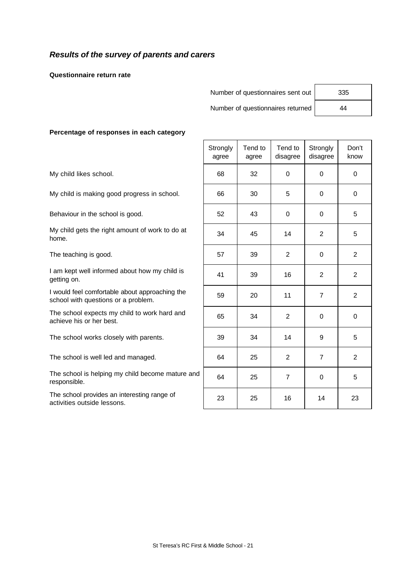# *Results of the survey of parents and carers*

**Questionnaire return rate**

Number of questionnaires sent out | 335

Number of questionnaires returned 44

#### **Percentage of responses in each category**

|                                                                                       | Strongly<br>agree | Tend to<br>agree | Tend to<br>disagree | Strongly<br>disagree | Don't<br>know  |
|---------------------------------------------------------------------------------------|-------------------|------------------|---------------------|----------------------|----------------|
| My child likes school.                                                                | 68                | 32               | $\Omega$            | $\Omega$             | $\mathbf 0$    |
| My child is making good progress in school.                                           | 66                | 30               | 5                   | $\Omega$             | 0              |
| Behaviour in the school is good.                                                      | 52                | 43               | $\Omega$            | $\Omega$             | 5              |
| My child gets the right amount of work to do at<br>home.                              | 34                | 45               | 14                  | $\overline{2}$       | 5              |
| The teaching is good.                                                                 | 57                | 39               | $\overline{2}$      | 0                    | $\overline{2}$ |
| I am kept well informed about how my child is<br>getting on.                          | 41                | 39               | 16                  | $\overline{2}$       | $\overline{2}$ |
| I would feel comfortable about approaching the<br>school with questions or a problem. | 59                | 20               | 11                  | $\overline{7}$       | $\overline{2}$ |
| The school expects my child to work hard and<br>achieve his or her best.              | 65                | 34               | $\overline{2}$      | $\Omega$             | $\mathbf 0$    |
| The school works closely with parents.                                                | 39                | 34               | 14                  | 9                    | 5              |
| The school is well led and managed.                                                   | 64                | 25               | $\overline{2}$      | $\overline{7}$       | $\overline{2}$ |
| The school is helping my child become mature and<br>responsible.                      | 64                | 25               | $\overline{7}$      | $\Omega$             | 5              |
| The school provides an interesting range of<br>activities outside lessons.            | 23                | 25               | 16                  | 14                   | 23             |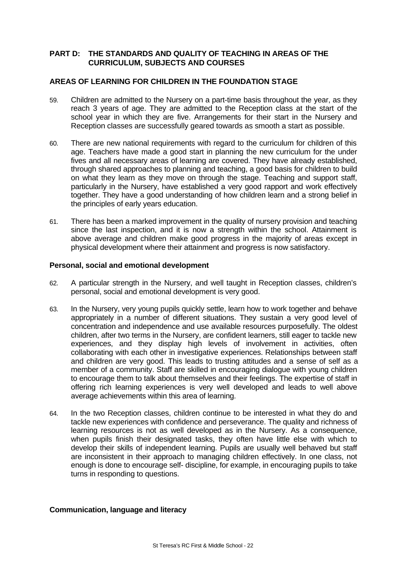# **PART D: THE STANDARDS AND QUALITY OF TEACHING IN AREAS OF THE CURRICULUM, SUBJECTS AND COURSES**

## **AREAS OF LEARNING FOR CHILDREN IN THE FOUNDATION STAGE**

- 59. Children are admitted to the Nursery on a part-time basis throughout the year, as they reach 3 years of age. They are admitted to the Reception class at the start of the school year in which they are five. Arrangements for their start in the Nursery and Reception classes are successfully geared towards as smooth a start as possible.
- 60. There are new national requirements with regard to the curriculum for children of this age. Teachers have made a good start in planning the new curriculum for the under fives and all necessary areas of learning are covered. They have already established, through shared approaches to planning and teaching, a good basis for children to build on what they learn as they move on through the stage. Teaching and support staff, particularly in the Nursery, have established a very good rapport and work effectively together. They have a good understanding of how children learn and a strong belief in the principles of early years education.
- 61. There has been a marked improvement in the quality of nursery provision and teaching since the last inspection, and it is now a strength within the school. Attainment is above average and children make good progress in the majority of areas except in physical development where their attainment and progress is now satisfactory.

### **Personal, social and emotional development**

- 62. A particular strength in the Nursery, and well taught in Reception classes, children's personal, social and emotional development is very good.
- 63. In the Nursery, very young pupils quickly settle, learn how to work together and behave appropriately in a number of different situations. They sustain a very good level of concentration and independence and use available resources purposefully. The oldest children, after two terms in the Nursery, are confident learners, still eager to tackle new experiences, and they display high levels of involvement in activities, often collaborating with each other in investigative experiences. Relationships between staff and children are very good. This leads to trusting attitudes and a sense of self as a member of a community. Staff are skilled in encouraging dialogue with young children to encourage them to talk about themselves and their feelings. The expertise of staff in offering rich learning experiences is very well developed and leads to well above average achievements within this area of learning.
- 64. In the two Reception classes, children continue to be interested in what they do and tackle new experiences with confidence and perseverance. The quality and richness of learning resources is not as well developed as in the Nursery. As a consequence, when pupils finish their designated tasks, they often have little else with which to develop their skills of independent learning. Pupils are usually well behaved but staff are inconsistent in their approach to managing children effectively. In one class, not enough is done to encourage self- discipline, for example, in encouraging pupils to take turns in responding to questions.

### **Communication, language and literacy**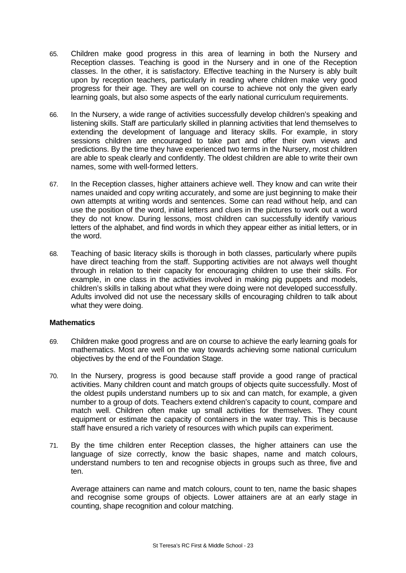- 65. Children make good progress in this area of learning in both the Nursery and Reception classes. Teaching is good in the Nursery and in one of the Reception classes. In the other, it is satisfactory. Effective teaching in the Nursery is ably built upon by reception teachers, particularly in reading where children make very good progress for their age. They are well on course to achieve not only the given early learning goals, but also some aspects of the early national curriculum requirements.
- 66. In the Nursery, a wide range of activities successfully develop children's speaking and listening skills. Staff are particularly skilled in planning activities that lend themselves to extending the development of language and literacy skills. For example, in story sessions children are encouraged to take part and offer their own views and predictions. By the time they have experienced two terms in the Nursery, most children are able to speak clearly and confidently. The oldest children are able to write their own names, some with well-formed letters.
- 67. In the Reception classes, higher attainers achieve well. They know and can write their names unaided and copy writing accurately, and some are just beginning to make their own attempts at writing words and sentences. Some can read without help, and can use the position of the word, initial letters and clues in the pictures to work out a word they do not know. During lessons, most children can successfully identify various letters of the alphabet, and find words in which they appear either as initial letters, or in the word.
- 68. Teaching of basic literacy skills is thorough in both classes, particularly where pupils have direct teaching from the staff. Supporting activities are not always well thought through in relation to their capacity for encouraging children to use their skills. For example, in one class in the activities involved in making pig puppets and models, children's skills in talking about what they were doing were not developed successfully. Adults involved did not use the necessary skills of encouraging children to talk about what they were doing.

# **Mathematics**

- 69. Children make good progress and are on course to achieve the early learning goals for mathematics. Most are well on the way towards achieving some national curriculum objectives by the end of the Foundation Stage.
- 70. In the Nursery, progress is good because staff provide a good range of practical activities. Many children count and match groups of objects quite successfully. Most of the oldest pupils understand numbers up to six and can match, for example, a given number to a group of dots. Teachers extend children's capacity to count, compare and match well. Children often make up small activities for themselves. They count equipment or estimate the capacity of containers in the water tray. This is because staff have ensured a rich variety of resources with which pupils can experiment.
- 71. By the time children enter Reception classes, the higher attainers can use the language of size correctly, know the basic shapes, name and match colours, understand numbers to ten and recognise objects in groups such as three, five and ten.

Average attainers can name and match colours, count to ten, name the basic shapes and recognise some groups of objects. Lower attainers are at an early stage in counting, shape recognition and colour matching.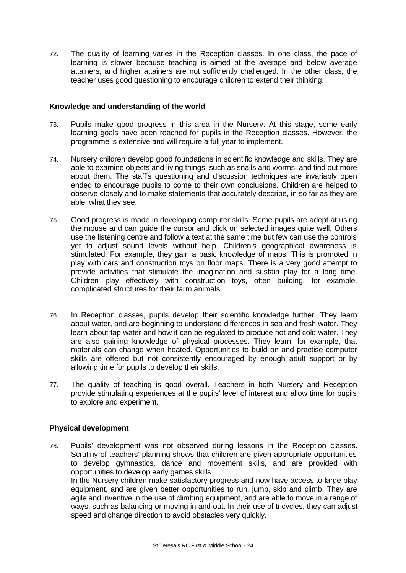72. The quality of learning varies in the Reception classes. In one class, the pace of learning is slower because teaching is aimed at the average and below average attainers, and higher attainers are not sufficiently challenged. In the other class, the teacher uses good questioning to encourage children to extend their thinking.

## **Knowledge and understanding of the world**

- 73. Pupils make good progress in this area in the Nursery. At this stage, some early learning goals have been reached for pupils in the Reception classes. However, the programme is extensive and will require a full year to implement.
- 74. Nursery children develop good foundations in scientific knowledge and skills. They are able to examine objects and living things, such as snails and worms, and find out more about them. The staff's questioning and discussion techniques are invariably open ended to encourage pupils to come to their own conclusions. Children are helped to observe closely and to make statements that accurately describe, in so far as they are able, what they see.
- 75. Good progress is made in developing computer skills. Some pupils are adept at using the mouse and can guide the cursor and click on selected images quite well. Others use the listening centre and follow a text at the same time but few can use the controls yet to adjust sound levels without help. Children's geographical awareness is stimulated. For example, they gain a basic knowledge of maps. This is promoted in play with cars and construction toys on floor maps. There is a very good attempt to provide activities that stimulate the imagination and sustain play for a long time. Children play effectively with construction toys, often building, for example, complicated structures for their farm animals.
- 76. In Reception classes, pupils develop their scientific knowledge further. They learn about water, and are beginning to understand differences in sea and fresh water. They learn about tap water and how it can be regulated to produce hot and cold water. They are also gaining knowledge of physical processes. They learn, for example, that materials can change when heated. Opportunities to build on and practise computer skills are offered but not consistently encouraged by enough adult support or by allowing time for pupils to develop their skills.
- 77. The quality of teaching is good overall. Teachers in both Nursery and Reception provide stimulating experiences at the pupils' level of interest and allow time for pupils to explore and experiment.

# **Physical development**

78. Pupils' development was not observed during lessons in the Reception classes. Scrutiny of teachers' planning shows that children are given appropriate opportunities to develop gymnastics, dance and movement skills, and are provided with opportunities to develop early games skills. In the Nursery children make satisfactory progress and now have access to large play equipment, and are given better opportunities to run, jump, skip and climb. They are agile and inventive in the use of climbing equipment, and are able to move in a range of ways, such as balancing or moving in and out. In their use of tricycles, they can adjust speed and change direction to avoid obstacles very quickly.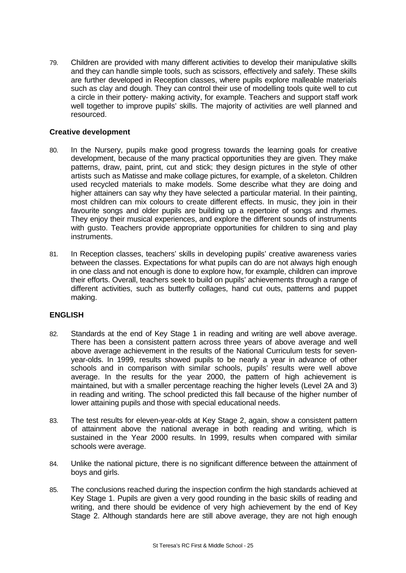79. Children are provided with many different activities to develop their manipulative skills and they can handle simple tools, such as scissors, effectively and safely. These skills are further developed in Reception classes, where pupils explore malleable materials such as clay and dough. They can control their use of modelling tools quite well to cut a circle in their pottery- making activity, for example. Teachers and support staff work well together to improve pupils' skills. The majority of activities are well planned and resourced.

# **Creative development**

- 80. In the Nursery, pupils make good progress towards the learning goals for creative development, because of the many practical opportunities they are given. They make patterns, draw, paint, print, cut and stick; they design pictures in the style of other artists such as Matisse and make collage pictures, for example, of a skeleton. Children used recycled materials to make models. Some describe what they are doing and higher attainers can say why they have selected a particular material. In their painting, most children can mix colours to create different effects. In music, they join in their favourite songs and older pupils are building up a repertoire of songs and rhymes. They enjoy their musical experiences, and explore the different sounds of instruments with gusto. Teachers provide appropriate opportunities for children to sing and play instruments.
- 81. In Reception classes, teachers' skills in developing pupils' creative awareness varies between the classes. Expectations for what pupils can do are not always high enough in one class and not enough is done to explore how, for example, children can improve their efforts. Overall, teachers seek to build on pupils' achievements through a range of different activities, such as butterfly collages, hand cut outs, patterns and puppet making.

# **ENGLISH**

- 82. Standards at the end of Key Stage 1 in reading and writing are well above average. There has been a consistent pattern across three years of above average and well above average achievement in the results of the National Curriculum tests for sevenyear-olds. In 1999, results showed pupils to be nearly a year in advance of other schools and in comparison with similar schools, pupils' results were well above average. In the results for the year 2000, the pattern of high achievement is maintained, but with a smaller percentage reaching the higher levels (Level 2A and 3) in reading and writing. The school predicted this fall because of the higher number of lower attaining pupils and those with special educational needs.
- 83. The test results for eleven-year-olds at Key Stage 2, again, show a consistent pattern of attainment above the national average in both reading and writing, which is sustained in the Year 2000 results. In 1999, results when compared with similar schools were average.
- 84. Unlike the national picture, there is no significant difference between the attainment of boys and girls.
- 85. The conclusions reached during the inspection confirm the high standards achieved at Key Stage 1. Pupils are given a very good rounding in the basic skills of reading and writing, and there should be evidence of very high achievement by the end of Key Stage 2. Although standards here are still above average, they are not high enough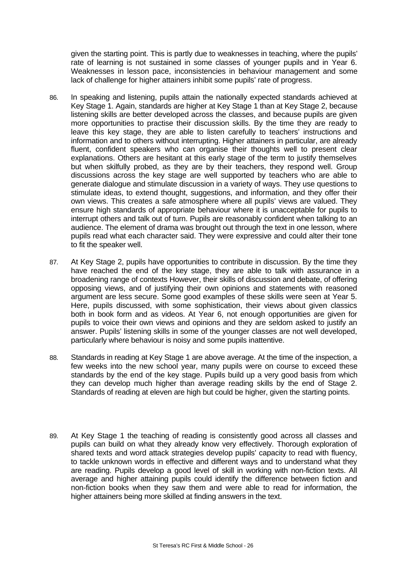given the starting point. This is partly due to weaknesses in teaching, where the pupils' rate of learning is not sustained in some classes of younger pupils and in Year 6. Weaknesses in lesson pace, inconsistencies in behaviour management and some lack of challenge for higher attainers inhibit some pupils' rate of progress.

- 86. In speaking and listening, pupils attain the nationally expected standards achieved at Key Stage 1. Again, standards are higher at Key Stage 1 than at Key Stage 2, because listening skills are better developed across the classes, and because pupils are given more opportunities to practise their discussion skills. By the time they are ready to leave this key stage, they are able to listen carefully to teachers' instructions and information and to others without interrupting. Higher attainers in particular, are already fluent, confident speakers who can organise their thoughts well to present clear explanations. Others are hesitant at this early stage of the term to justify themselves but when skilfully probed, as they are by their teachers, they respond well. Group discussions across the key stage are well supported by teachers who are able to generate dialogue and stimulate discussion in a variety of ways. They use questions to stimulate ideas, to extend thought, suggestions, and information, and they offer their own views. This creates a safe atmosphere where all pupils' views are valued. They ensure high standards of appropriate behaviour where it is unacceptable for pupils to interrupt others and talk out of turn. Pupils are reasonably confident when talking to an audience. The element of drama was brought out through the text in one lesson, where pupils read what each character said. They were expressive and could alter their tone to fit the speaker well.
- 87. At Key Stage 2, pupils have opportunities to contribute in discussion. By the time they have reached the end of the key stage, they are able to talk with assurance in a broadening range of contexts However, their skills of discussion and debate, of offering opposing views, and of justifying their own opinions and statements with reasoned argument are less secure. Some good examples of these skills were seen at Year 5. Here, pupils discussed, with some sophistication, their views about given classics both in book form and as videos. At Year 6, not enough opportunities are given for pupils to voice their own views and opinions and they are seldom asked to justify an answer. Pupils' listening skills in some of the younger classes are not well developed, particularly where behaviour is noisy and some pupils inattentive.
- 88. Standards in reading at Key Stage 1 are above average. At the time of the inspection, a few weeks into the new school year, many pupils were on course to exceed these standards by the end of the key stage. Pupils build up a very good basis from which they can develop much higher than average reading skills by the end of Stage 2. Standards of reading at eleven are high but could be higher, given the starting points.
- 89. At Key Stage 1 the teaching of reading is consistently good across all classes and pupils can build on what they already know very effectively. Thorough exploration of shared texts and word attack strategies develop pupils' capacity to read with fluency, to tackle unknown words in effective and different ways and to understand what they are reading. Pupils develop a good level of skill in working with non-fiction texts. All average and higher attaining pupils could identify the difference between fiction and non-fiction books when they saw them and were able to read for information, the higher attainers being more skilled at finding answers in the text.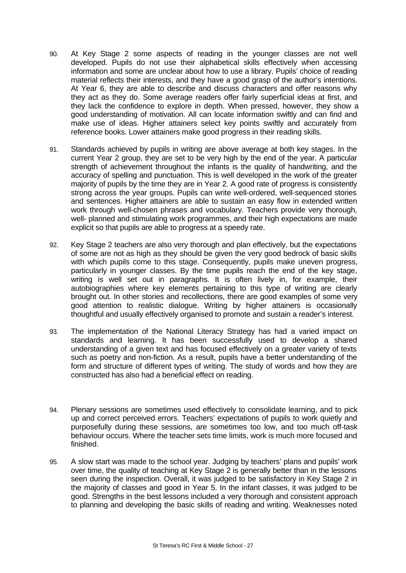- 90. At Key Stage 2 some aspects of reading in the younger classes are not well developed. Pupils do not use their alphabetical skills effectively when accessing information and some are unclear about how to use a library. Pupils' choice of reading material reflects their interests, and they have a good grasp of the author's intentions. At Year 6, they are able to describe and discuss characters and offer reasons why they act as they do. Some average readers offer fairly superficial ideas at first, and they lack the confidence to explore in depth. When pressed, however, they show a good understanding of motivation. All can locate information swiftly and can find and make use of ideas. Higher attainers select key points swiftly and accurately from reference books. Lower attainers make good progress in their reading skills.
- 91. Standards achieved by pupils in writing are above average at both key stages. In the current Year 2 group, they are set to be very high by the end of the year. A particular strength of achievement throughout the infants is the quality of handwriting, and the accuracy of spelling and punctuation. This is well developed in the work of the greater majority of pupils by the time they are in Year 2. A good rate of progress is consistently strong across the year groups. Pupils can write well-ordered, well-sequenced stories and sentences. Higher attainers are able to sustain an easy flow in extended written work through well-chosen phrases and vocabulary. Teachers provide very thorough, well- planned and stimulating work programmes, and their high expectations are made explicit so that pupils are able to progress at a speedy rate.
- 92. Key Stage 2 teachers are also very thorough and plan effectively, but the expectations of some are not as high as they should be given the very good bedrock of basic skills with which pupils come to this stage. Consequently, pupils make uneven progress, particularly in younger classes. By the time pupils reach the end of the key stage, writing is well set out in paragraphs. It is often lively in, for example, their autobiographies where key elements pertaining to this type of writing are clearly brought out. In other stories and recollections, there are good examples of some very good attention to realistic dialogue. Writing by higher attainers is occasionally thoughtful and usually effectively organised to promote and sustain a reader's interest.
- 93. The implementation of the National Literacy Strategy has had a varied impact on standards and learning. It has been successfully used to develop a shared understanding of a given text and has focused effectively on a greater variety of texts such as poetry and non-fiction. As a result, pupils have a better understanding of the form and structure of different types of writing. The study of words and how they are constructed has also had a beneficial effect on reading.
- 94. Plenary sessions are sometimes used effectively to consolidate learning, and to pick up and correct perceived errors. Teachers' expectations of pupils to work quietly and purposefully during these sessions, are sometimes too low, and too much off-task behaviour occurs. Where the teacher sets time limits, work is much more focused and finished.
- 95. A slow start was made to the school year. Judging by teachers' plans and pupils' work over time, the quality of teaching at Key Stage 2 is generally better than in the lessons seen during the inspection. Overall, it was judged to be satisfactory in Key Stage 2 in the majority of classes and good in Year 5. In the infant classes, it was judged to be good. Strengths in the best lessons included a very thorough and consistent approach to planning and developing the basic skills of reading and writing. Weaknesses noted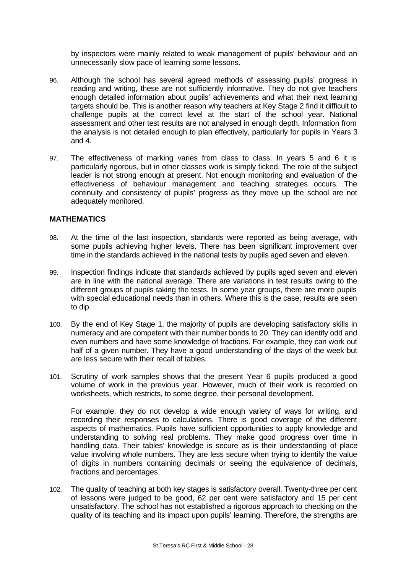by inspectors were mainly related to weak management of pupils' behaviour and an unnecessarily slow pace of learning some lessons.

- 96. Although the school has several agreed methods of assessing pupils' progress in reading and writing, these are not sufficiently informative. They do not give teachers enough detailed information about pupils' achievements and what their next learning targets should be. This is another reason why teachers at Key Stage 2 find it difficult to challenge pupils at the correct level at the start of the school year. National assessment and other test results are not analysed in enough depth. Information from the analysis is not detailed enough to plan effectively, particularly for pupils in Years 3 and 4.
- 97. The effectiveness of marking varies from class to class. In years 5 and 6 it is particularly rigorous, but in other classes work is simply ticked. The role of the subject leader is not strong enough at present. Not enough monitoring and evaluation of the effectiveness of behaviour management and teaching strategies occurs. The continuity and consistency of pupils' progress as they move up the school are not adequately monitored.

## **MATHEMATICS**

- 98. At the time of the last inspection, standards were reported as being average, with some pupils achieving higher levels. There has been significant improvement over time in the standards achieved in the national tests by pupils aged seven and eleven.
- 99. Inspection findings indicate that standards achieved by pupils aged seven and eleven are in line with the national average. There are variations in test results owing to the different groups of pupils taking the tests. In some year groups, there are more pupils with special educational needs than in others. Where this is the case, results are seen to dip.
- 100. By the end of Key Stage 1, the majority of pupils are developing satisfactory skills in numeracy and are competent with their number bonds to 20. They can identify odd and even numbers and have some knowledge of fractions. For example, they can work out half of a given number. They have a good understanding of the days of the week but are less secure with their recall of tables.
- 101. Scrutiny of work samples shows that the present Year 6 pupils produced a good volume of work in the previous year. However, much of their work is recorded on worksheets, which restricts, to some degree, their personal development.

For example, they do not develop a wide enough variety of ways for writing, and recording their responses to calculations. There is good coverage of the different aspects of mathematics. Pupils have sufficient opportunities to apply knowledge and understanding to solving real problems. They make good progress over time in handling data. Their tables' knowledge is secure as is their understanding of place value involving whole numbers. They are less secure when trying to identify the value of digits in numbers containing decimals or seeing the equivalence of decimals, fractions and percentages.

102. The quality of teaching at both key stages is satisfactory overall. Twenty-three per cent of lessons were judged to be good, 62 per cent were satisfactory and 15 per cent unsatisfactory. The school has not established a rigorous approach to checking on the quality of its teaching and its impact upon pupils' learning. Therefore, the strengths are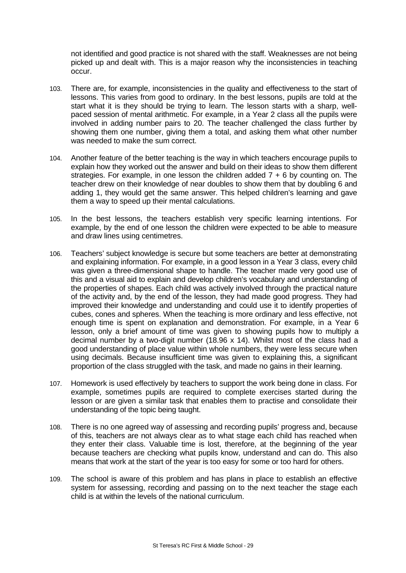not identified and good practice is not shared with the staff. Weaknesses are not being picked up and dealt with. This is a major reason why the inconsistencies in teaching occur.

- 103. There are, for example, inconsistencies in the quality and effectiveness to the start of lessons. This varies from good to ordinary. In the best lessons, pupils are told at the start what it is they should be trying to learn. The lesson starts with a sharp, wellpaced session of mental arithmetic. For example, in a Year 2 class all the pupils were involved in adding number pairs to 20. The teacher challenged the class further by showing them one number, giving them a total, and asking them what other number was needed to make the sum correct.
- 104. Another feature of the better teaching is the way in which teachers encourage pupils to explain how they worked out the answer and build on their ideas to show them different strategies. For example, in one lesson the children added  $7 + 6$  by counting on. The teacher drew on their knowledge of near doubles to show them that by doubling 6 and adding 1, they would get the same answer. This helped children's learning and gave them a way to speed up their mental calculations.
- 105. In the best lessons, the teachers establish very specific learning intentions. For example, by the end of one lesson the children were expected to be able to measure and draw lines using centimetres.
- 106. Teachers' subject knowledge is secure but some teachers are better at demonstrating and explaining information. For example, in a good lesson in a Year 3 class, every child was given a three-dimensional shape to handle. The teacher made very good use of this and a visual aid to explain and develop children's vocabulary and understanding of the properties of shapes. Each child was actively involved through the practical nature of the activity and, by the end of the lesson, they had made good progress. They had improved their knowledge and understanding and could use it to identify properties of cubes, cones and spheres. When the teaching is more ordinary and less effective, not enough time is spent on explanation and demonstration. For example, in a Year 6 lesson, only a brief amount of time was given to showing pupils how to multiply a decimal number by a two-digit number (18.96 x 14). Whilst most of the class had a good understanding of place value within whole numbers, they were less secure when using decimals. Because insufficient time was given to explaining this, a significant proportion of the class struggled with the task, and made no gains in their learning.
- 107. Homework is used effectively by teachers to support the work being done in class. For example, sometimes pupils are required to complete exercises started during the lesson or are given a similar task that enables them to practise and consolidate their understanding of the topic being taught.
- 108. There is no one agreed way of assessing and recording pupils' progress and, because of this, teachers are not always clear as to what stage each child has reached when they enter their class. Valuable time is lost, therefore, at the beginning of the year because teachers are checking what pupils know, understand and can do. This also means that work at the start of the year is too easy for some or too hard for others.
- 109. The school is aware of this problem and has plans in place to establish an effective system for assessing, recording and passing on to the next teacher the stage each child is at within the levels of the national curriculum.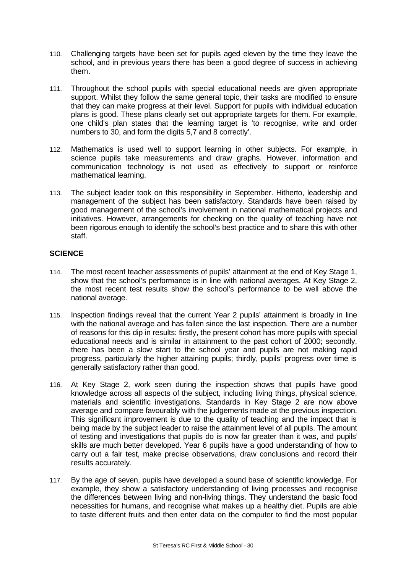- 110. Challenging targets have been set for pupils aged eleven by the time they leave the school, and in previous years there has been a good degree of success in achieving them.
- 111. Throughout the school pupils with special educational needs are given appropriate support. Whilst they follow the same general topic, their tasks are modified to ensure that they can make progress at their level. Support for pupils with individual education plans is good. These plans clearly set out appropriate targets for them. For example, one child's plan states that the learning target is 'to recognise, write and order numbers to 30, and form the digits 5,7 and 8 correctly'.
- 112. Mathematics is used well to support learning in other subjects. For example, in science pupils take measurements and draw graphs. However, information and communication technology is not used as effectively to support or reinforce mathematical learning.
- 113. The subject leader took on this responsibility in September. Hitherto, leadership and management of the subject has been satisfactory. Standards have been raised by good management of the school's involvement in national mathematical projects and initiatives. However, arrangements for checking on the quality of teaching have not been rigorous enough to identify the school's best practice and to share this with other staff.

# **SCIENCE**

- 114. The most recent teacher assessments of pupils' attainment at the end of Key Stage 1, show that the school's performance is in line with national averages. At Key Stage 2, the most recent test results show the school's performance to be well above the national average.
- 115. Inspection findings reveal that the current Year 2 pupils' attainment is broadly in line with the national average and has fallen since the last inspection. There are a number of reasons for this dip in results: firstly, the present cohort has more pupils with special educational needs and is similar in attainment to the past cohort of 2000; secondly, there has been a slow start to the school year and pupils are not making rapid progress, particularly the higher attaining pupils; thirdly, pupils' progress over time is generally satisfactory rather than good.
- 116. At Key Stage 2, work seen during the inspection shows that pupils have good knowledge across all aspects of the subject, including living things, physical science, materials and scientific investigations. Standards in Key Stage 2 are now above average and compare favourably with the judgements made at the previous inspection. This significant improvement is due to the quality of teaching and the impact that is being made by the subject leader to raise the attainment level of all pupils. The amount of testing and investigations that pupils do is now far greater than it was, and pupils' skills are much better developed. Year 6 pupils have a good understanding of how to carry out a fair test, make precise observations, draw conclusions and record their results accurately.
- 117. By the age of seven, pupils have developed a sound base of scientific knowledge. For example, they show a satisfactory understanding of living processes and recognise the differences between living and non-living things. They understand the basic food necessities for humans, and recognise what makes up a healthy diet. Pupils are able to taste different fruits and then enter data on the computer to find the most popular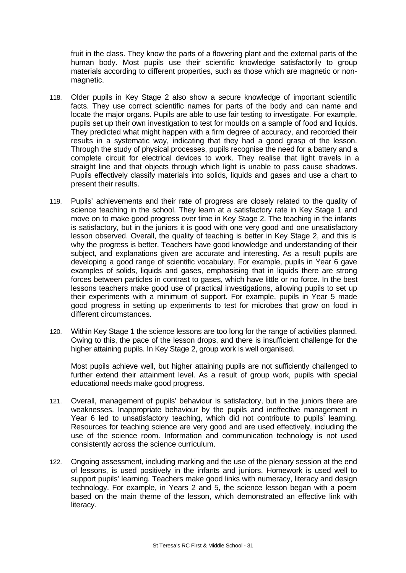fruit in the class. They know the parts of a flowering plant and the external parts of the human body. Most pupils use their scientific knowledge satisfactorily to group materials according to different properties, such as those which are magnetic or nonmagnetic.

- 118. Older pupils in Key Stage 2 also show a secure knowledge of important scientific facts. They use correct scientific names for parts of the body and can name and locate the major organs. Pupils are able to use fair testing to investigate. For example, pupils set up their own investigation to test for moulds on a sample of food and liquids. They predicted what might happen with a firm degree of accuracy, and recorded their results in a systematic way, indicating that they had a good grasp of the lesson. Through the study of physical processes, pupils recognise the need for a battery and a complete circuit for electrical devices to work. They realise that light travels in a straight line and that objects through which light is unable to pass cause shadows. Pupils effectively classify materials into solids, liquids and gases and use a chart to present their results.
- 119. Pupils' achievements and their rate of progress are closely related to the quality of science teaching in the school. They learn at a satisfactory rate in Key Stage 1 and move on to make good progress over time in Key Stage 2. The teaching in the infants is satisfactory, but in the juniors it is good with one very good and one unsatisfactory lesson observed. Overall, the quality of teaching is better in Key Stage 2, and this is why the progress is better. Teachers have good knowledge and understanding of their subject, and explanations given are accurate and interesting. As a result pupils are developing a good range of scientific vocabulary. For example, pupils in Year 6 gave examples of solids, liquids and gases, emphasising that in liquids there are strong forces between particles in contrast to gases, which have little or no force. In the best lessons teachers make good use of practical investigations, allowing pupils to set up their experiments with a minimum of support. For example, pupils in Year 5 made good progress in setting up experiments to test for microbes that grow on food in different circumstances.
- 120. Within Key Stage 1 the science lessons are too long for the range of activities planned. Owing to this, the pace of the lesson drops, and there is insufficient challenge for the higher attaining pupils. In Key Stage 2, group work is well organised.

Most pupils achieve well, but higher attaining pupils are not sufficiently challenged to further extend their attainment level. As a result of group work, pupils with special educational needs make good progress.

- 121. Overall, management of pupils' behaviour is satisfactory, but in the juniors there are weaknesses. Inappropriate behaviour by the pupils and ineffective management in Year 6 led to unsatisfactory teaching, which did not contribute to pupils' learning. Resources for teaching science are very good and are used effectively, including the use of the science room. Information and communication technology is not used consistently across the science curriculum.
- 122. Ongoing assessment, including marking and the use of the plenary session at the end of lessons, is used positively in the infants and juniors. Homework is used well to support pupils' learning. Teachers make good links with numeracy, literacy and design technology. For example, in Years 2 and 5, the science lesson began with a poem based on the main theme of the lesson, which demonstrated an effective link with literacy.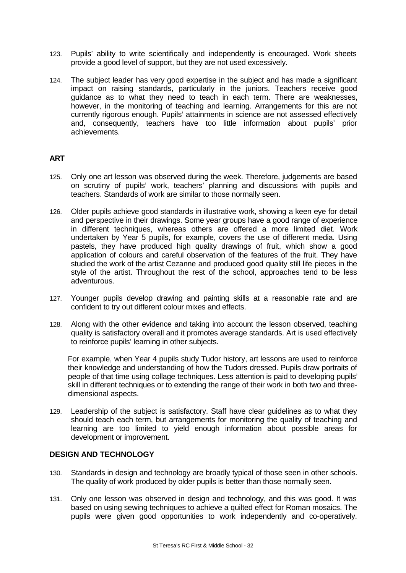- 123. Pupils' ability to write scientifically and independently is encouraged. Work sheets provide a good level of support, but they are not used excessively.
- 124. The subject leader has very good expertise in the subject and has made a significant impact on raising standards, particularly in the juniors. Teachers receive good guidance as to what they need to teach in each term. There are weaknesses, however, in the monitoring of teaching and learning. Arrangements for this are not currently rigorous enough. Pupils' attainments in science are not assessed effectively and, consequently, teachers have too little information about pupils' prior achievements.

# **ART**

- 125. Only one art lesson was observed during the week. Therefore, judgements are based on scrutiny of pupils' work, teachers' planning and discussions with pupils and teachers. Standards of work are similar to those normally seen.
- 126. Older pupils achieve good standards in illustrative work, showing a keen eye for detail and perspective in their drawings. Some year groups have a good range of experience in different techniques, whereas others are offered a more limited diet. Work undertaken by Year 5 pupils, for example, covers the use of different media. Using pastels, they have produced high quality drawings of fruit, which show a good application of colours and careful observation of the features of the fruit. They have studied the work of the artist Cezanne and produced good quality still life pieces in the style of the artist. Throughout the rest of the school, approaches tend to be less adventurous.
- 127. Younger pupils develop drawing and painting skills at a reasonable rate and are confident to try out different colour mixes and effects.
- 128. Along with the other evidence and taking into account the lesson observed, teaching quality is satisfactory overall and it promotes average standards. Art is used effectively to reinforce pupils' learning in other subjects.

For example, when Year 4 pupils study Tudor history, art lessons are used to reinforce their knowledge and understanding of how the Tudors dressed. Pupils draw portraits of people of that time using collage techniques. Less attention is paid to developing pupils' skill in different techniques or to extending the range of their work in both two and threedimensional aspects.

129. Leadership of the subject is satisfactory. Staff have clear guidelines as to what they should teach each term, but arrangements for monitoring the quality of teaching and learning are too limited to yield enough information about possible areas for development or improvement.

# **DESIGN AND TECHNOLOGY**

- 130. Standards in design and technology are broadly typical of those seen in other schools. The quality of work produced by older pupils is better than those normally seen.
- 131. Only one lesson was observed in design and technology, and this was good. It was based on using sewing techniques to achieve a quilted effect for Roman mosaics. The pupils were given good opportunities to work independently and co-operatively.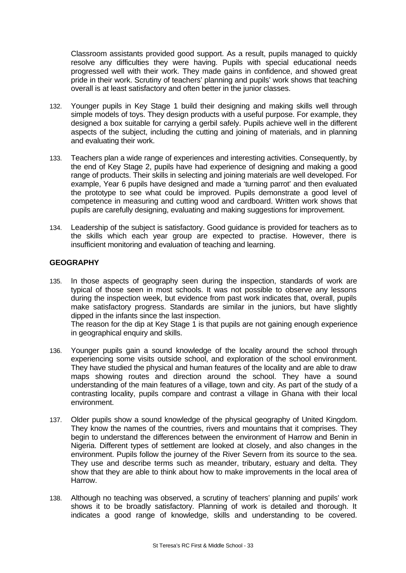Classroom assistants provided good support. As a result, pupils managed to quickly resolve any difficulties they were having. Pupils with special educational needs progressed well with their work. They made gains in confidence, and showed great pride in their work. Scrutiny of teachers' planning and pupils' work shows that teaching overall is at least satisfactory and often better in the junior classes.

- 132. Younger pupils in Key Stage 1 build their designing and making skills well through simple models of toys. They design products with a useful purpose. For example, they designed a box suitable for carrying a gerbil safely. Pupils achieve well in the different aspects of the subject, including the cutting and joining of materials, and in planning and evaluating their work.
- 133. Teachers plan a wide range of experiences and interesting activities. Consequently, by the end of Key Stage 2, pupils have had experience of designing and making a good range of products. Their skills in selecting and joining materials are well developed. For example, Year 6 pupils have designed and made a 'turning parrot' and then evaluated the prototype to see what could be improved. Pupils demonstrate a good level of competence in measuring and cutting wood and cardboard. Written work shows that pupils are carefully designing, evaluating and making suggestions for improvement.
- 134. Leadership of the subject is satisfactory. Good guidance is provided for teachers as to the skills which each year group are expected to practise. However, there is insufficient monitoring and evaluation of teaching and learning.

# **GEOGRAPHY**

135. In those aspects of geography seen during the inspection, standards of work are typical of those seen in most schools. It was not possible to observe any lessons during the inspection week, but evidence from past work indicates that, overall, pupils make satisfactory progress. Standards are similar in the juniors, but have slightly dipped in the infants since the last inspection.

The reason for the dip at Key Stage 1 is that pupils are not gaining enough experience in geographical enquiry and skills.

- 136. Younger pupils gain a sound knowledge of the locality around the school through experiencing some visits outside school, and exploration of the school environment. They have studied the physical and human features of the locality and are able to draw maps showing routes and direction around the school. They have a sound understanding of the main features of a village, town and city. As part of the study of a contrasting locality, pupils compare and contrast a village in Ghana with their local environment.
- 137. Older pupils show a sound knowledge of the physical geography of United Kingdom. They know the names of the countries, rivers and mountains that it comprises. They begin to understand the differences between the environment of Harrow and Benin in Nigeria. Different types of settlement are looked at closely, and also changes in the environment. Pupils follow the journey of the River Severn from its source to the sea. They use and describe terms such as meander, tributary, estuary and delta. They show that they are able to think about how to make improvements in the local area of Harrow.
- 138. Although no teaching was observed, a scrutiny of teachers' planning and pupils' work shows it to be broadly satisfactory. Planning of work is detailed and thorough. It indicates a good range of knowledge, skills and understanding to be covered.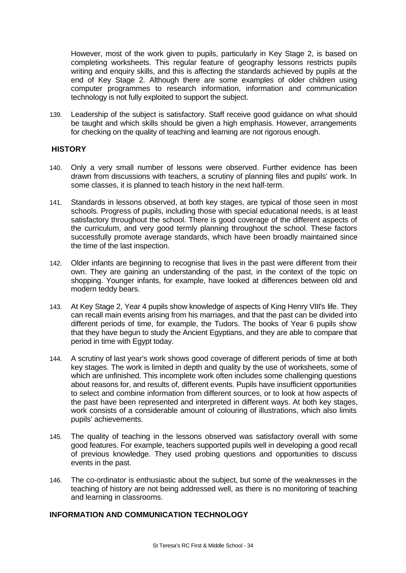However, most of the work given to pupils, particularly in Key Stage 2, is based on completing worksheets. This regular feature of geography lessons restricts pupils writing and enquiry skills, and this is affecting the standards achieved by pupils at the end of Key Stage 2. Although there are some examples of older children using computer programmes to research information, information and communication technology is not fully exploited to support the subject.

139. Leadership of the subject is satisfactory. Staff receive good guidance on what should be taught and which skills should be given a high emphasis. However, arrangements for checking on the quality of teaching and learning are not rigorous enough.

# **HISTORY**

- 140. Only a very small number of lessons were observed. Further evidence has been drawn from discussions with teachers, a scrutiny of planning files and pupils' work. In some classes, it is planned to teach history in the next half-term.
- 141. Standards in lessons observed, at both key stages, are typical of those seen in most schools. Progress of pupils, including those with special educational needs, is at least satisfactory throughout the school. There is good coverage of the different aspects of the curriculum, and very good termly planning throughout the school. These factors successfully promote average standards, which have been broadly maintained since the time of the last inspection.
- 142. Older infants are beginning to recognise that lives in the past were different from their own. They are gaining an understanding of the past, in the context of the topic on shopping. Younger infants, for example, have looked at differences between old and modern teddy bears.
- 143. At Key Stage 2, Year 4 pupils show knowledge of aspects of King Henry VIII's life. They can recall main events arising from his marriages, and that the past can be divided into different periods of time, for example, the Tudors. The books of Year 6 pupils show that they have begun to study the Ancient Egyptians, and they are able to compare that period in time with Egypt today.
- 144. A scrutiny of last year's work shows good coverage of different periods of time at both key stages. The work is limited in depth and quality by the use of worksheets, some of which are unfinished. This incomplete work often includes some challenging questions about reasons for, and results of, different events. Pupils have insufficient opportunities to select and combine information from different sources, or to look at how aspects of the past have been represented and interpreted in different ways. At both key stages, work consists of a considerable amount of colouring of illustrations, which also limits pupils' achievements.
- 145. The quality of teaching in the lessons observed was satisfactory overall with some good features. For example, teachers supported pupils well in developing a good recall of previous knowledge. They used probing questions and opportunities to discuss events in the past.
- 146. The co-ordinator is enthusiastic about the subject, but some of the weaknesses in the teaching of history are not being addressed well, as there is no monitoring of teaching and learning in classrooms.

# **INFORMATION AND COMMUNICATION TECHNOLOGY**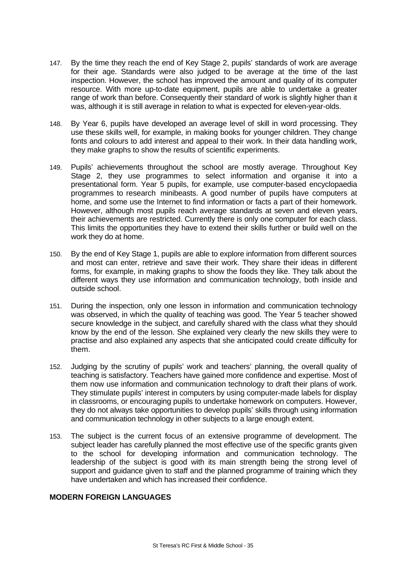- 147. By the time they reach the end of Key Stage 2, pupils' standards of work are average for their age. Standards were also judged to be average at the time of the last inspection. However, the school has improved the amount and quality of its computer resource. With more up-to-date equipment, pupils are able to undertake a greater range of work than before. Consequently their standard of work is slightly higher than it was, although it is still average in relation to what is expected for eleven-year-olds.
- 148. By Year 6, pupils have developed an average level of skill in word processing. They use these skills well, for example, in making books for younger children. They change fonts and colours to add interest and appeal to their work. In their data handling work, they make graphs to show the results of scientific experiments.
- 149. Pupils' achievements throughout the school are mostly average. Throughout Key Stage 2, they use programmes to select information and organise it into a presentational form. Year 5 pupils, for example, use computer-based encyclopaedia programmes to research minibeasts. A good number of pupils have computers at home, and some use the Internet to find information or facts a part of their homework. However, although most pupils reach average standards at seven and eleven years, their achievements are restricted. Currently there is only one computer for each class. This limits the opportunities they have to extend their skills further or build well on the work they do at home.
- 150. By the end of Key Stage 1, pupils are able to explore information from different sources and most can enter, retrieve and save their work. They share their ideas in different forms, for example, in making graphs to show the foods they like. They talk about the different ways they use information and communication technology, both inside and outside school.
- 151. During the inspection, only one lesson in information and communication technology was observed, in which the quality of teaching was good. The Year 5 teacher showed secure knowledge in the subject, and carefully shared with the class what they should know by the end of the lesson. She explained very clearly the new skills they were to practise and also explained any aspects that she anticipated could create difficulty for them.
- 152. Judging by the scrutiny of pupils' work and teachers' planning, the overall quality of teaching is satisfactory. Teachers have gained more confidence and expertise. Most of them now use information and communication technology to draft their plans of work. They stimulate pupils' interest in computers by using computer-made labels for display in classrooms, or encouraging pupils to undertake homework on computers. However, they do not always take opportunities to develop pupils' skills through using information and communication technology in other subjects to a large enough extent.
- 153. The subject is the current focus of an extensive programme of development. The subject leader has carefully planned the most effective use of the specific grants given to the school for developing information and communication technology. The leadership of the subject is good with its main strength being the strong level of support and guidance given to staff and the planned programme of training which they have undertaken and which has increased their confidence.

# **MODERN FOREIGN LANGUAGES**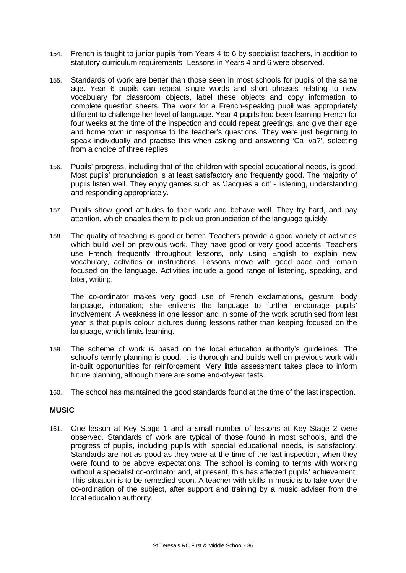- 154. French is taught to junior pupils from Years 4 to 6 by specialist teachers, in addition to statutory curriculum requirements. Lessons in Years 4 and 6 were observed.
- 155. Standards of work are better than those seen in most schools for pupils of the same age. Year 6 pupils can repeat single words and short phrases relating to new vocabulary for classroom objects, label these objects and copy information to complete question sheets. The work for a French-speaking pupil was appropriately different to challenge her level of language. Year 4 pupils had been learning French for four weeks at the time of the inspection and could repeat greetings, and give their age and home town in response to the teacher's questions. They were just beginning to speak individually and practise this when asking and answering 'Ca va?', selecting from a choice of three replies.
- 156. Pupils' progress, including that of the children with special educational needs, is good. Most pupils' pronunciation is at least satisfactory and frequently good. The majority of pupils listen well. They enjoy games such as 'Jacques a dit' - listening, understanding and responding appropriately.
- 157. Pupils show good attitudes to their work and behave well. They try hard, and pay attention, which enables them to pick up pronunciation of the language quickly.
- 158. The quality of teaching is good or better. Teachers provide a good variety of activities which build well on previous work. They have good or very good accents. Teachers use French frequently throughout lessons, only using English to explain new vocabulary, activities or instructions. Lessons move with good pace and remain focused on the language. Activities include a good range of listening, speaking, and later, writing.

The co-ordinator makes very good use of French exclamations, gesture, body language, intonation; she enlivens the language to further encourage pupils' involvement. A weakness in one lesson and in some of the work scrutinised from last year is that pupils colour pictures during lessons rather than keeping focused on the language, which limits learning.

- 159. The scheme of work is based on the local education authority's guidelines. The school's termly planning is good. It is thorough and builds well on previous work with in-built opportunities for reinforcement. Very little assessment takes place to inform future planning, although there are some end-of-year tests.
- 160. The school has maintained the good standards found at the time of the last inspection.

### **MUSIC**

161. One lesson at Key Stage 1 and a small number of lessons at Key Stage 2 were observed. Standards of work are typical of those found in most schools, and the progress of pupils, including pupils with special educational needs, is satisfactory. Standards are not as good as they were at the time of the last inspection, when they were found to be above expectations. The school is coming to terms with working without a specialist co-ordinator and, at present, this has affected pupils' achievement. This situation is to be remedied soon. A teacher with skills in music is to take over the co-ordination of the subject, after support and training by a music adviser from the local education authority.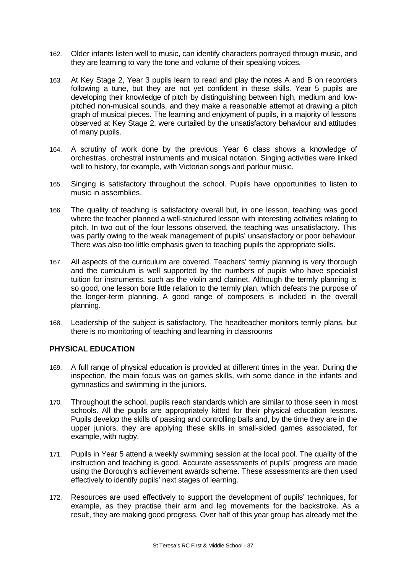- 162. Older infants listen well to music, can identify characters portrayed through music, and they are learning to vary the tone and volume of their speaking voices.
- 163. At Key Stage 2, Year 3 pupils learn to read and play the notes A and B on recorders following a tune, but they are not yet confident in these skills. Year 5 pupils are developing their knowledge of pitch by distinguishing between high, medium and lowpitched non-musical sounds, and they make a reasonable attempt at drawing a pitch graph of musical pieces. The learning and enjoyment of pupils, in a majority of lessons observed at Key Stage 2, were curtailed by the unsatisfactory behaviour and attitudes of many pupils.
- 164. A scrutiny of work done by the previous Year 6 class shows a knowledge of orchestras, orchestral instruments and musical notation. Singing activities were linked well to history, for example, with Victorian songs and parlour music.
- 165. Singing is satisfactory throughout the school. Pupils have opportunities to listen to music in assemblies.
- 166. The quality of teaching is satisfactory overall but, in one lesson, teaching was good where the teacher planned a well-structured lesson with interesting activities relating to pitch. In two out of the four lessons observed, the teaching was unsatisfactory. This was partly owing to the weak management of pupils' unsatisfactory or poor behaviour. There was also too little emphasis given to teaching pupils the appropriate skills.
- 167. All aspects of the curriculum are covered. Teachers' termly planning is very thorough and the curriculum is well supported by the numbers of pupils who have specialist tuition for instruments, such as the violin and clarinet. Although the termly planning is so good, one lesson bore little relation to the termly plan, which defeats the purpose of the longer-term planning. A good range of composers is included in the overall planning.
- 168. Leadership of the subject is satisfactory. The headteacher monitors termly plans, but there is no monitoring of teaching and learning in classrooms

## **PHYSICAL EDUCATION**

- 169. A full range of physical education is provided at different times in the year. During the inspection, the main focus was on games skills, with some dance in the infants and gymnastics and swimming in the juniors.
- 170. Throughout the school, pupils reach standards which are similar to those seen in most schools. All the pupils are appropriately kitted for their physical education lessons. Pupils develop the skills of passing and controlling balls and, by the time they are in the upper juniors, they are applying these skills in small-sided games associated, for example, with rugby.
- 171. Pupils in Year 5 attend a weekly swimming session at the local pool. The quality of the instruction and teaching is good. Accurate assessments of pupils' progress are made using the Borough's achievement awards scheme. These assessments are then used effectively to identify pupils' next stages of learning.
- 172. Resources are used effectively to support the development of pupils' techniques, for example, as they practise their arm and leg movements for the backstroke. As a result, they are making good progress. Over half of this year group has already met the